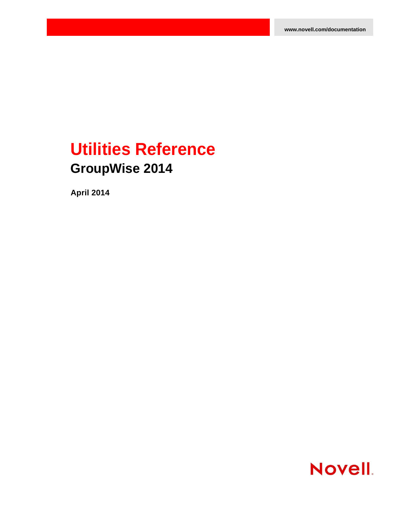# **Utilities Reference GroupWise 2014**

**April 2014**

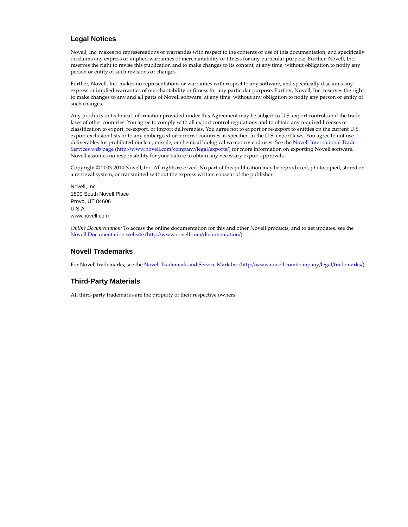#### **Legal Notices**

Novell, Inc. makes no representations or warranties with respect to the contents or use of this documentation, and specifically disclaims any express or implied warranties of merchantability or fitness for any particular purpose. Further, Novell, Inc. reserves the right to revise this publication and to make changes to its content, at any time, without obligation to notify any person or entity of such revisions or changes.

Further, Novell, Inc. makes no representations or warranties with respect to any software, and specifically disclaims any express or implied warranties of merchantability or fitness for any particular purpose. Further, Novell, Inc. reserves the right to make changes to any and all parts of Novell software, at any time, without any obligation to notify any person or entity of such changes.

Any products or technical information provided under this Agreement may be subject to U.S. export controls and the trade laws of other countries. You agree to comply with all export control regulations and to obtain any required licenses or classification to export, re-export, or import deliverables. You agree not to export or re-export to entities on the current U.S. export exclusion lists or to any embargoed or terrorist countries as specified in the U.S. export laws. You agree to not use deliverables for prohibited nuclear, missile, or chemical biological weaponry end uses. See the [Novell International Trade](http://www.novell.com/company/legal/exports/)  [Services web page](http://www.novell.com/company/legal/exports/) (http://www.novell.com/company/legal/exports/) for more information on exporting Novell software. Novell assumes no responsibility for your failure to obtain any necessary export approvals.

Copyright © 2003-2014 Novell, Inc. All rights reserved. No part of this publication may be reproduced, photocopied, stored on a retrieval system, or transmitted without the express written consent of the publisher.

Novell, Inc. 1800 South Novell Place Provo, UT 84606 U.S.A. www.novell.com

*Online Documentation:* To access the online documentation for this and other Novell products, and to get updates, see the [Novell Documentation website](http://www.novell.com/documentation/) (http://www.novell.com/documentation/).

#### **Novell Trademarks**

For Novell trademarks, see the [Novell Trademark and Service Mark list](http://www.novell.com/company/legal/trademarks/) (http://www.novell.com/company/legal/trademarks/).

#### **Third-Party Materials**

All third-party trademarks are the property of their respective owners.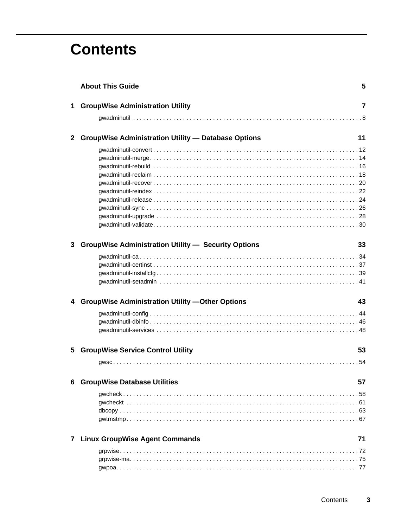# **Contents**

|              | <b>About This Guide</b>                                    | 5  |
|--------------|------------------------------------------------------------|----|
| $\mathbf 1$  | <b>GroupWise Administration Utility</b>                    | 7  |
|              |                                                            |    |
| $\mathbf{2}$ | <b>GroupWise Administration Utility - Database Options</b> | 11 |
|              |                                                            |    |
|              |                                                            |    |
|              |                                                            |    |
|              |                                                            |    |
|              |                                                            |    |
|              |                                                            |    |
|              |                                                            |    |
|              |                                                            |    |
|              |                                                            |    |
| 3            | <b>GroupWise Administration Utility - Security Options</b> | 33 |
|              |                                                            |    |
|              |                                                            |    |
|              |                                                            |    |
|              |                                                            |    |
|              | 4 GroupWise Administration Utility - Other Options         | 43 |
|              |                                                            |    |
|              |                                                            |    |
|              |                                                            |    |
| 5            | <b>GroupWise Service Control Utility</b>                   | 53 |
|              |                                                            |    |
|              | <b>6 GroupWise Database Utilities</b>                      | 57 |
|              |                                                            |    |
|              |                                                            |    |
|              |                                                            |    |
|              |                                                            |    |
|              | 7 Linux GroupWise Agent Commands                           | 71 |
|              |                                                            |    |
|              |                                                            |    |
|              |                                                            |    |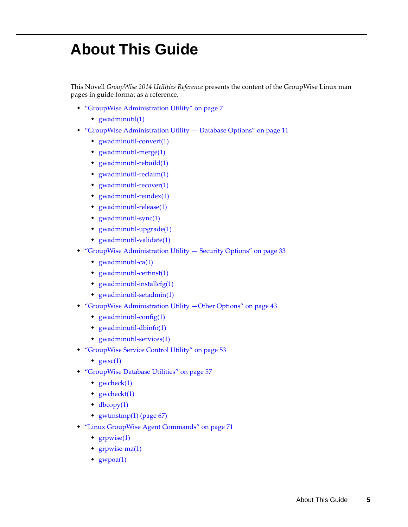# <span id="page-4-0"></span>**About This Guide**

This Novell *GroupWise 2014 Utilities Reference* presents the content of the GroupWise Linux man pages in guide format as a reference.

- ["GroupWise Administration Utility" on page 7](#page-6-1)
	- gwadminutil(1)
- ["GroupWise Administration Utility Database Options" on page 11](#page-10-1)
	- gwadminutil-convert(1)
	- gwadminutil-merge(1)
	- gwadminutil-rebuild(1)
	- gwadminutil-reclaim(1)
	- gwadminutil-recover(1)
	- gwadminutil-reindex(1)
	- gwadminutil-release(1)
	- gwadminutil-sync(1)
	- gwadminutil-upgrade(1)
	- gwadminutil-validate(1)
- ["GroupWise Administration Utility Security Options" on page 33](#page-32-1)
	- gwadminutil-ca(1)
	- gwadminutil-certinst(1)
	- gwadminutil-installcfg(1)
	- gwadminutil-setadmin(1)
- ["GroupWise Administration Utility —Other Options" on page 43](#page-42-1)
	- gwadminutil-config(1)
	- gwadminutil-dbinfo(1)
	- gwadminutil-services(1)
- ["GroupWise Service Control Utility" on page 53](#page-52-1)
	- $\bullet$  gwsc(1)
- ["GroupWise Database Utilities" on page 57](#page-56-1)
	- gwcheck(1)
	- gwcheckt(1)
	- $\triangleleft\text{bcopy}(1)$
	- gwtmstmp(1) (page 67)
- ["Linux GroupWise Agent Commands" on page 71](#page-70-1)
	- grpwise(1)
	- grpwise-ma(1)
	- $*$  gwpoa(1)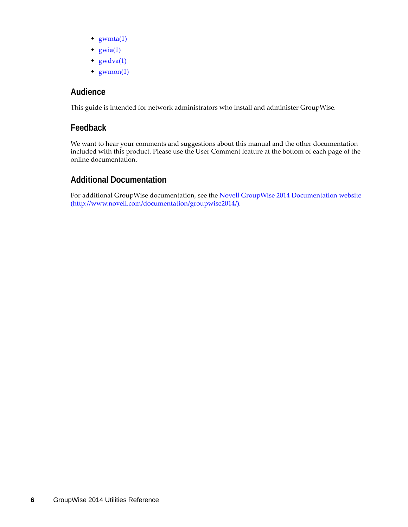- $\triangleleft$  gwmta(1)
- $\bullet$  gwia(1)
- $\rightarrow$  gwdva(1)
- $*$  gwmon(1)

### **Audience**

This guide is intended for network administrators who install and administer GroupWise.

### **Feedback**

We want to hear your comments and suggestions about this manual and the other documentation included with this product. Please use the User Comment feature at the bottom of each page of the online documentation.

### **Additional Documentation**

For additional GroupWise documentation, see the [Novell GroupWise 2014 Documentation website](http://www.novell.com/documentation/groupwise2014/)  (http://www.novell.com/documentation/groupwise2014/).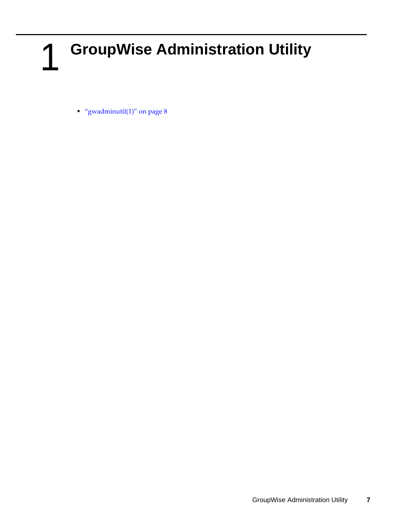# <span id="page-6-0"></span>1 <sup>1</sup>**GroupWise Administration Utility**

<span id="page-6-1"></span>• "gwadminutil $(1)$ " on page 8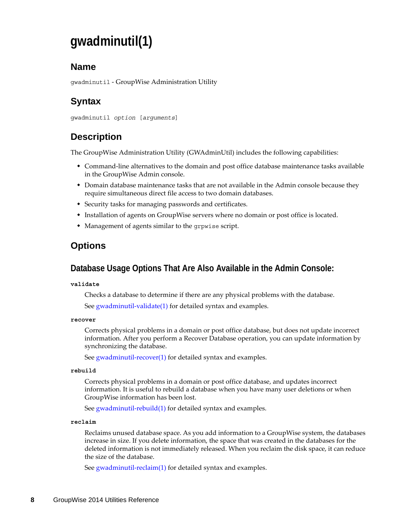# <span id="page-7-0"></span>**gwadminutil(1)**

### **Name**

gwadminutil - GroupWise Administration Utility

# **Syntax**

```
gwadminutil option [arguments]
```
# **Description**

The GroupWise Administration Utility (GWAdminUtil) includes the following capabilities:

- Command-line alternatives to the domain and post office database maintenance tasks available in the GroupWise Admin console.
- Domain database maintenance tasks that are not available in the Admin console because they require simultaneous direct file access to two domain databases.
- Security tasks for managing passwords and certificates.
- Installation of agents on GroupWise servers where no domain or post office is located.
- Management of agents similar to the grpwise script.

### **Options**

### **Database Usage Options That Are Also Available in the Admin Console:**

#### **validate**

Checks a database to determine if there are any physical problems with the database.

See gwadminutil-validate(1) for detailed syntax and examples.

#### **recover**

Corrects physical problems in a domain or post office database, but does not update incorrect information. After you perform a Recover Database operation, you can update information by synchronizing the database.

See gwadminutil-recover(1) for detailed syntax and examples.

#### **rebuild**

Corrects physical problems in a domain or post office database, and updates incorrect information. It is useful to rebuild a database when you have many user deletions or when GroupWise information has been lost.

See gwadminutil-rebuild(1) for detailed syntax and examples.

#### **reclaim**

Reclaims unused database space. As you add information to a GroupWise system, the databases increase in size. If you delete information, the space that was created in the databases for the deleted information is not immediately released. When you reclaim the disk space, it can reduce the size of the database.

See gwadminutil-reclaim(1) for detailed syntax and examples.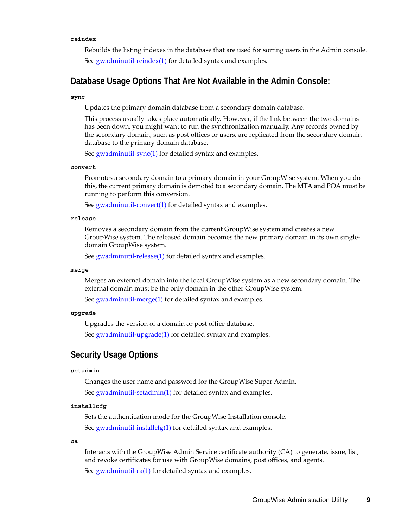#### **reindex**

Rebuilds the listing indexes in the database that are used for sorting users in the Admin console. See gwadminutil-reindex(1) for detailed syntax and examples.

#### **Database Usage Options That Are Not Available in the Admin Console:**

#### **sync**

Updates the primary domain database from a secondary domain database.

This process usually takes place automatically. However, if the link between the two domains has been down, you might want to run the synchronization manually. Any records owned by the secondary domain, such as post offices or users, are replicated from the secondary domain database to the primary domain database.

See gwadminutil-sync(1) for detailed syntax and examples.

#### **convert**

Promotes a secondary domain to a primary domain in your GroupWise system. When you do this, the current primary domain is demoted to a secondary domain. The MTA and POA must be running to perform this conversion.

See gwadminutil-convert(1) for detailed syntax and examples.

#### **release**

Removes a secondary domain from the current GroupWise system and creates a new GroupWise system. The released domain becomes the new primary domain in its own singledomain GroupWise system.

See gwadminutil-release(1) for detailed syntax and examples.

#### **merge**

Merges an external domain into the local GroupWise system as a new secondary domain. The external domain must be the only domain in the other GroupWise system.

See gwadminutil-merge(1) for detailed syntax and examples.

#### **upgrade**

Upgrades the version of a domain or post office database.

See gwadminutil-upgrade(1) for detailed syntax and examples.

#### **Security Usage Options**

#### **setadmin**

Changes the user name and password for the GroupWise Super Admin. See gwadminutil-setadmin(1) for detailed syntax and examples.

#### **installcfg**

Sets the authentication mode for the GroupWise Installation console. See gwadminutil-installcfg(1) for detailed syntax and examples.

#### **ca**

Interacts with the GroupWise Admin Service certificate authority (CA) to generate, issue, list, and revoke certificates for use with GroupWise domains, post offices, and agents.

See gwadminutil-ca(1) for detailed syntax and examples.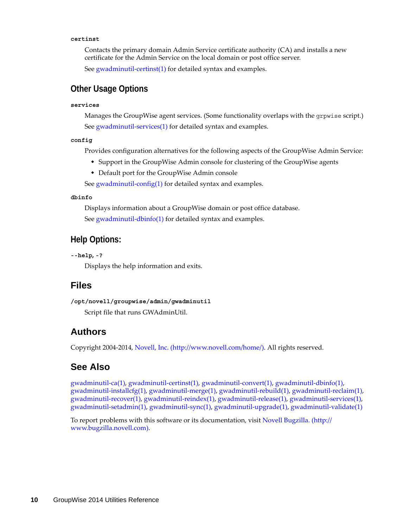#### **certinst**

Contacts the primary domain Admin Service certificate authority (CA) and installs a new certificate for the Admin Service on the local domain or post office server.

See gwadminutil-certinst(1) for detailed syntax and examples.

### **Other Usage Options**

#### **services**

Manages the GroupWise agent services. (Some functionality overlaps with the grpwise script.) See gwadminutil-services(1) for detailed syntax and examples.

**config**

Provides configuration alternatives for the following aspects of the GroupWise Admin Service:

- Support in the GroupWise Admin console for clustering of the GroupWise agents
- Default port for the GroupWise Admin console

See gwadminutil-config(1) for detailed syntax and examples.

#### **dbinfo**

Displays information about a GroupWise domain or post office database. See gwadminutil-dbinfo(1) for detailed syntax and examples.

### **Help Options:**

**--help, -?**

Displays the help information and exits.

#### **Files**

**/opt/novell/groupwise/admin/gwadminutil** Script file that runs GWAdminUtil.

### **Authors**

Copyright 2004-2014, [Novell, Inc.](http://www.novell.com/home/) (http://www.novell.com/home/). All rights reserved.

### **See Also**

gwadminutil-ca(1), gwadminutil-certinst(1), gwadminutil-convert(1), gwadminutil-dbinfo(1), gwadminutil-installcfg(1), gwadminutil-merge(1), gwadminutil-rebuild(1), gwadminutil-reclaim(1), gwadminutil-recover(1), gwadminutil-reindex(1), gwadminutil-release(1), gwadminutil-services(1), gwadminutil-setadmin(1), gwadminutil-sync(1), gwadminutil-upgrade(1), gwadminutil-validate(1)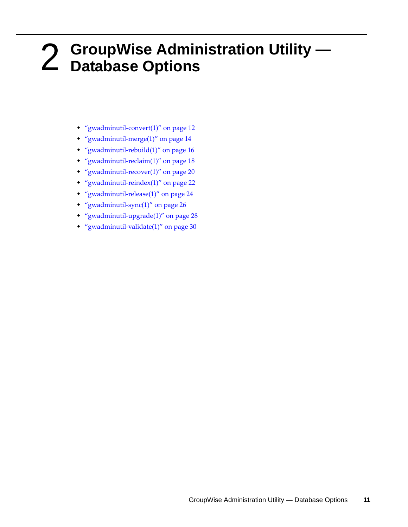# <span id="page-10-0"></span>2 <sup>2</sup>**GroupWise Administration Utility — Database Options**

- <span id="page-10-1"></span>["gwadminutil-convert\(1\)" on page 12](#page-11-0)
- ["gwadminutil-merge\(1\)" on page 14](#page-13-0)
- ["gwadminutil-rebuild\(1\)" on page 16](#page-15-0)
- ["gwadminutil-reclaim\(1\)" on page 18](#page-17-0)
- ["gwadminutil-recover\(1\)" on page 20](#page-19-0)
- ["gwadminutil-reindex\(1\)" on page 22](#page-21-0)
- ["gwadminutil-release\(1\)" on page 24](#page-23-0)
- ["gwadminutil-sync\(1\)" on page 26](#page-25-0)
- ["gwadminutil-upgrade\(1\)" on page 28](#page-27-0)
- ["gwadminutil-validate\(1\)" on page 30](#page-29-0)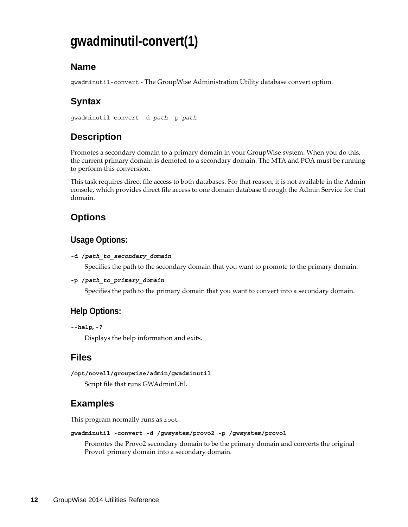# <span id="page-11-0"></span>**gwadminutil-convert(1)**

## **Name**

gwadminutil-convert - The GroupWise Administration Utility database convert option.

# **Syntax**

```
gwadminutil convert -d path -p path
```
# **Description**

Promotes a secondary domain to a primary domain in your GroupWise system. When you do this, the current primary domain is demoted to a secondary domain. The MTA and POA must be running to perform this conversion.

This task requires direct file access to both databases. For that reason, it is not available in the Admin console, which provides direct file access to one domain database through the Admin Service for that domain.

# **Options**

### **Usage Options:**

**-d /***path\_to\_secondary\_domain*

Specifies the path to the secondary domain that you want to promote to the primary domain.

**-p /***path\_to\_primary\_domain*

Specifies the path to the primary domain that you want to convert into a secondary domain.

# **Help Options:**

```
--help, -?
```
Displays the help information and exits.

## **Files**

```
/opt/novell/groupwise/admin/gwadminutil
```
Script file that runs GWAdminUtil.

# **Examples**

This program normally runs as root.

**gwadminutil -convert -d /gwsystem/provo2 -p /gwsystem/provo1**

Promotes the Provo2 secondary domain to be the primary domain and converts the original Provo1 primary domain into a secondary domain.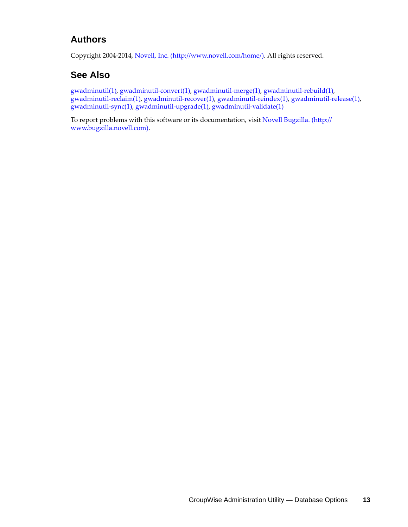### **Authors**

Copyright 2004-2014, [Novell, Inc.](http://www.novell.com/home/) (http://www.novell.com/home/). All rights reserved.

## **See Also**

gwadminutil(1), gwadminutil-convert(1), gwadminutil-merge(1), gwadminutil-rebuild(1), gwadminutil-reclaim(1), gwadminutil-recover(1), gwadminutil-reindex(1), gwadminutil-release(1), gwadminutil-sync(1), gwadminutil-upgrade(1), gwadminutil-validate(1)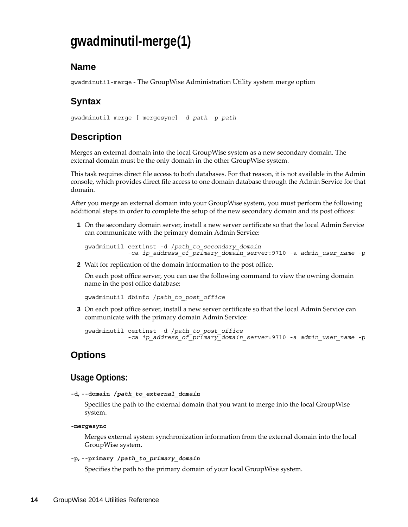# <span id="page-13-0"></span>**gwadminutil-merge(1)**

### **Name**

gwadminutil-merge - The GroupWise Administration Utility system merge option

# **Syntax**

```
gwadminutil merge [-mergesync] -d path -p path
```
# **Description**

Merges an external domain into the local GroupWise system as a new secondary domain. The external domain must be the only domain in the other GroupWise system.

This task requires direct file access to both databases. For that reason, it is not available in the Admin console, which provides direct file access to one domain database through the Admin Service for that domain.

After you merge an external domain into your GroupWise system, you must perform the following additional steps in order to complete the setup of the new secondary domain and its post offices:

**1** On the secondary domain server, install a new server certificate so that the local Admin Service can communicate with the primary domain Admin Service:

```
gwadminutil certinst -d /path_to_secondary_domain
         -ca ip_address_of_primary_domain_server:9710 -a admin_user_name -p
```
**2** Wait for replication of the domain information to the post office.

On each post office server, you can use the following command to view the owning domain name in the post office database:

gwadminutil dbinfo /*path\_to\_post\_office*

**3** On each post office server, install a new server certificate so that the local Admin Service can communicate with the primary domain Admin Service:

```
gwadminutil certinst -d /path_to_post_office
         -ca ip_address_of_primary_domain_server:9710 -a admin_user_name -p
```
## **Options**

### **Usage Options:**

**-d, --domain /***path\_to\_external\_domain*

Specifies the path to the external domain that you want to merge into the local GroupWise system.

#### **-mergesync**

Merges external system synchronization information from the external domain into the local GroupWise system.

```
-p, --primary /path_to_primary_domain
```
Specifies the path to the primary domain of your local GroupWise system.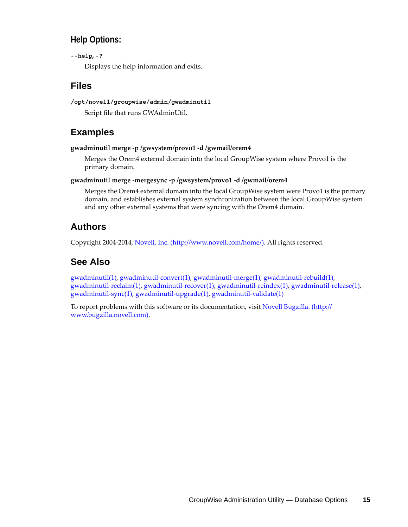### **Help Options:**

#### **--help, -?**

Displays the help information and exits.

### **Files**

#### **/opt/novell/groupwise/admin/gwadminutil**

Script file that runs GWAdminUtil.

### **Examples**

#### **gwadminutil merge -p /gwsystem/provo1 -d /gwmail/orem4**

Merges the Orem4 external domain into the local GroupWise system where Provo1 is the primary domain.

#### **gwadminutil merge -mergesync -p /gwsystem/provo1 -d /gwmail/orem4**

Merges the Orem4 external domain into the local GroupWise system were Provo1 is the primary domain, and establishes external system synchronization between the local GroupWise system and any other external systems that were syncing with the Orem4 domain.

### **Authors**

Copyright 2004-2014, [Novell, Inc.](http://www.novell.com/home/) (http://www.novell.com/home/). All rights reserved.

## **See Also**

gwadminutil(1), gwadminutil-convert(1), gwadminutil-merge(1), gwadminutil-rebuild(1), gwadminutil-reclaim(1), gwadminutil-recover(1), gwadminutil-reindex(1), gwadminutil-release(1), gwadminutil-sync(1), gwadminutil-upgrade(1), gwadminutil-validate(1)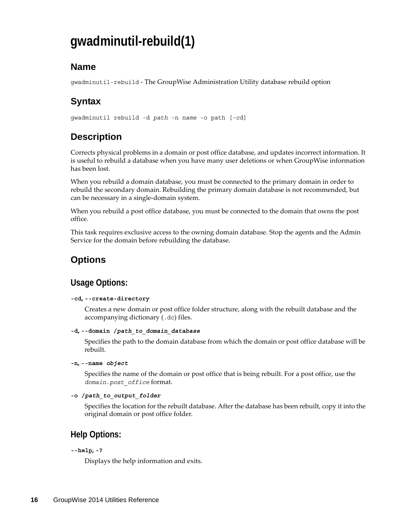# <span id="page-15-0"></span>**gwadminutil-rebuild(1)**

### **Name**

gwadminutil-rebuild - The GroupWise Administration Utility database rebuild option

# **Syntax**

gwadminutil rebuild -d *path* -n *name* -o path [-cd]

# **Description**

Corrects physical problems in a domain or post office database, and updates incorrect information. It is useful to rebuild a database when you have many user deletions or when GroupWise information has been lost.

When you rebuild a domain database, you must be connected to the primary domain in order to rebuild the secondary domain. Rebuilding the primary domain database is not recommended, but can be necessary in a single-domain system.

When you rebuild a post office database, you must be connected to the domain that owns the post office.

This task requires exclusive access to the owning domain database. Stop the agents and the Admin Service for the domain before rebuilding the database.

# **Options**

## **Usage Options:**

#### **-cd, --create-directory**

Creates a new domain or post office folder structure, along with the rebuilt database and the accompanying dictionary (.dc) files.

```
-d, --domain /path_to_domain_database
```
Specifies the path to the domain database from which the domain or post office database will be rebuilt.

**-n, --name** *object*

Specifies the name of the domain or post office that is being rebuilt. For a post office, use the *domain*.*post\_office* format.

```
-o /path_to_output_folder
```
Specifies the location for the rebuilt database. After the database has been rebuilt, copy it into the original domain or post office folder.

### **Help Options:**

#### **--help, -?**

Displays the help information and exits.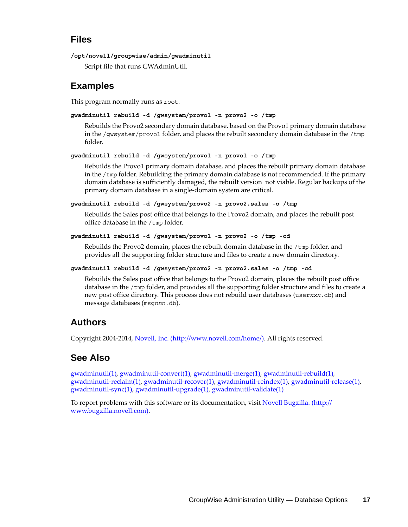### **Files**

```
/opt/novell/groupwise/admin/gwadminutil
```
Script file that runs GWAdminUtil.

## **Examples**

This program normally runs as root.

```
gwadminutil rebuild -d /gwsystem/provo1 -n provo2 -o /tmp
```
Rebuilds the Provo2 secondary domain database, based on the Provo1 primary domain database in the /gwsystem/provo1 folder, and places the rebuilt secondary domain database in the /tmp folder.

```
gwadminutil rebuild -d /gwsystem/provo1 -n provo1 -o /tmp
```
Rebuilds the Provo1 primary domain database, and places the rebuilt primary domain database in the  $/$ tmp folder. Rebuilding the primary domain database is not recommended. If the primary domain database is sufficiently damaged, the rebuilt version not viable. Regular backups of the primary domain database in a single-domain system are critical.

**gwadminutil rebuild -d /gwsystem/provo2 -n provo2.sales -o /tmp**

Rebuilds the Sales post office that belongs to the Provo2 domain, and places the rebuilt post office database in the /tmp folder.

```
gwadminutil rebuild -d /gwsystem/provo1 -n provo2 -o /tmp -cd
```
Rebuilds the Provo2 domain, places the rebuilt domain database in the /tmp folder, and provides all the supporting folder structure and files to create a new domain directory.

```
gwadminutil rebuild -d /gwsystem/provo2 -n provo2.sales -o /tmp -cd
```
Rebuilds the Sales post office that belongs to the Provo2 domain, places the rebuilt post office database in the /tmp folder, and provides all the supporting folder structure and files to create a new post office directory. This process does not rebuild user databases (user*xxx*.db) and message databases (msg*nnn*.db).

# **Authors**

Copyright 2004-2014, [Novell, Inc.](http://www.novell.com/home/) (http://www.novell.com/home/). All rights reserved.

# **See Also**

gwadminutil(1), gwadminutil-convert(1), gwadminutil-merge(1), gwadminutil-rebuild(1), gwadminutil-reclaim(1), gwadminutil-recover(1), gwadminutil-reindex(1), gwadminutil-release(1), gwadminutil-sync(1), gwadminutil-upgrade(1), gwadminutil-validate(1)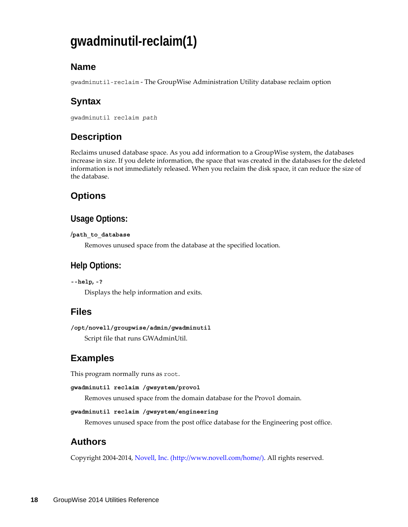# <span id="page-17-0"></span>**gwadminutil-reclaim(1)**

## **Name**

gwadminutil-reclaim - The GroupWise Administration Utility database reclaim option

# **Syntax**

```
gwadminutil reclaim path
```
# **Description**

Reclaims unused database space. As you add information to a GroupWise system, the databases increase in size. If you delete information, the space that was created in the databases for the deleted information is not immediately released. When you reclaim the disk space, it can reduce the size of the database.

# **Options**

### **Usage Options:**

#### **/path\_to\_database**

Removes unused space from the database at the specified location.

### **Help Options:**

```
--help, -?
```
Displays the help information and exits.

## **Files**

```
/opt/novell/groupwise/admin/gwadminutil
Script file that runs GWAdminUtil.
```
# **Examples**

This program normally runs as root.

```
gwadminutil reclaim /gwsystem/provo1
```
Removes unused space from the domain database for the Provo1 domain.

```
gwadminutil reclaim /gwsystem/engineering
```
Removes unused space from the post office database for the Engineering post office.

## **Authors**

Copyright 2004-2014, [Novell, Inc.](http://www.novell.com/home/) (http://www.novell.com/home/). All rights reserved.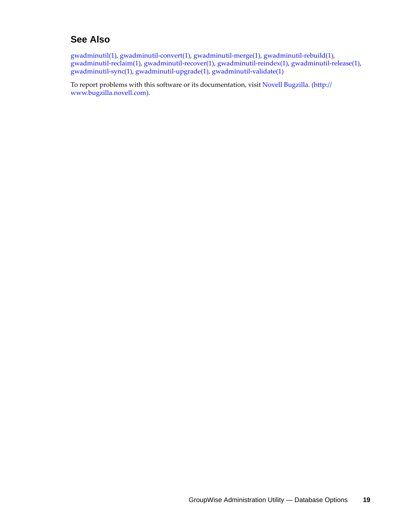### **See Also**

gwadminutil(1), gwadminutil-convert(1), gwadminutil-merge(1), gwadminutil-rebuild(1), gwadminutil-reclaim(1), gwadminutil-recover(1), gwadminutil-reindex(1), gwadminutil-release(1), gwadminutil-sync(1), gwadminutil-upgrade(1), gwadminutil-validate(1)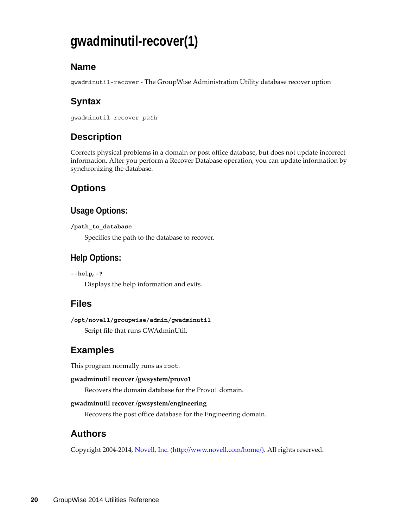# <span id="page-19-0"></span>**gwadminutil-recover(1)**

## **Name**

gwadminutil-recover - The GroupWise Administration Utility database recover option

# **Syntax**

```
gwadminutil recover path
```
# **Description**

Corrects physical problems in a domain or post office database, but does not update incorrect information. After you perform a Recover Database operation, you can update information by synchronizing the database.

# **Options**

## **Usage Options:**

```
/path_to_database
```
Specifies the path to the database to recover.

## **Help Options:**

**--help, -?**

Displays the help information and exits.

## **Files**

**/opt/novell/groupwise/admin/gwadminutil** Script file that runs GWAdminUtil.

# **Examples**

This program normally runs as root.

#### **gwadminutil recover /gwsystem/provo1**

Recovers the domain database for the Provo1 domain.

#### **gwadminutil recover /gwsystem/engineering**

Recovers the post office database for the Engineering domain.

# **Authors**

Copyright 2004-2014, [Novell, Inc.](http://www.novell.com/home/) (http://www.novell.com/home/). All rights reserved.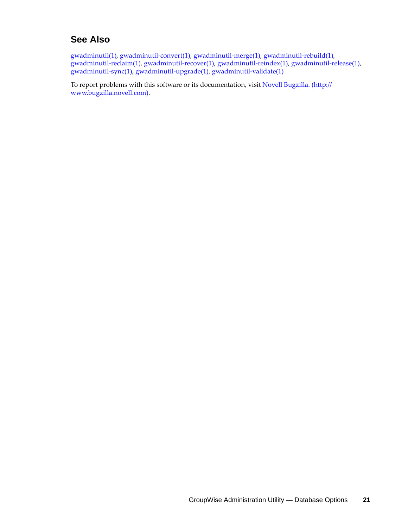### **See Also**

gwadminutil(1), gwadminutil-convert(1), gwadminutil-merge(1), gwadminutil-rebuild(1), gwadminutil-reclaim(1), gwadminutil-recover(1), gwadminutil-reindex(1), gwadminutil-release(1), gwadminutil-sync(1), gwadminutil-upgrade(1), gwadminutil-validate(1)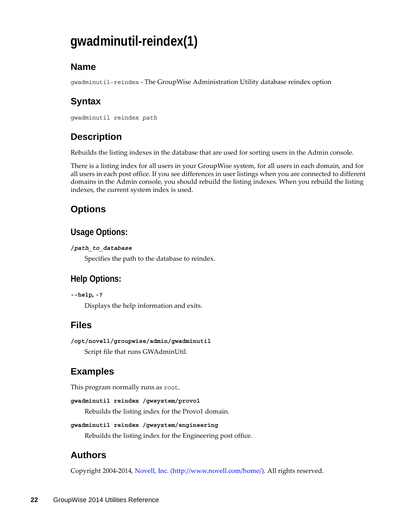# <span id="page-21-0"></span>**gwadminutil-reindex(1)**

## **Name**

gwadminutil-reindex - The GroupWise Administration Utility database reindex option

# **Syntax**

```
gwadminutil reindex path
```
# **Description**

Rebuilds the listing indexes in the database that are used for sorting users in the Admin console.

There is a listing index for all users in your GroupWise system, for all users in each domain, and for all users in each post office. If you see differences in user listings when you are connected to different domains in the Admin console, you should rebuild the listing indexes. When you rebuild the listing indexes, the current system index is used.

# **Options**

## **Usage Options:**

#### **/***path\_to\_database*

Specifies the path to the database to reindex.

# **Help Options:**

**--help, -?**

Displays the help information and exits.

# **Files**

```
/opt/novell/groupwise/admin/gwadminutil
Script file that runs GWAdminUtil.
```
# **Examples**

This program normally runs as root.

```
gwadminutil reindex /gwsystem/provo1
```
Rebuilds the listing index for the Provo1 domain.

```
gwadminutil reindex /gwsystem/engineering
```
Rebuilds the listing index for the Engineering post office.

# **Authors**

Copyright 2004-2014, [Novell, Inc.](http://www.novell.com/home/) (http://www.novell.com/home/). All rights reserved.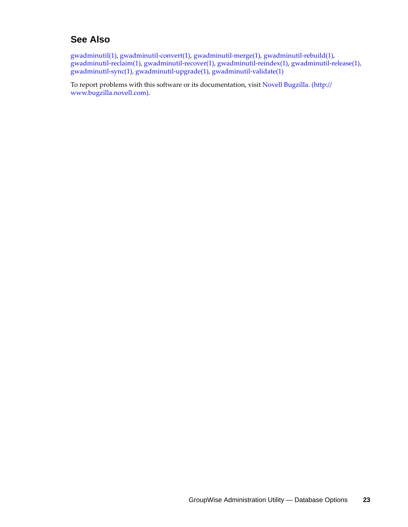### **See Also**

gwadminutil(1), gwadminutil-convert(1), gwadminutil-merge(1), gwadminutil-rebuild(1), gwadminutil-reclaim(1), gwadminutil-recover(1), gwadminutil-reindex(1), gwadminutil-release(1), gwadminutil-sync(1), gwadminutil-upgrade(1), gwadminutil-validate(1)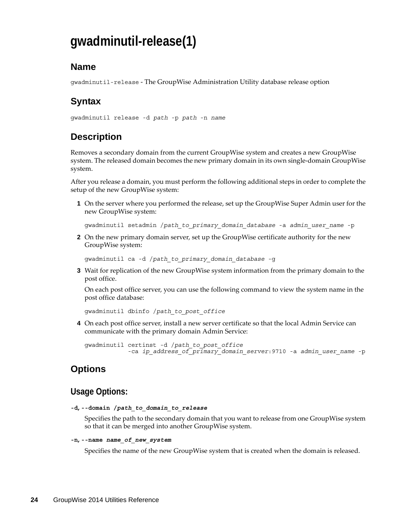# <span id="page-23-0"></span>**gwadminutil-release(1)**

### **Name**

gwadminutil-release - The GroupWise Administration Utility database release option

# **Syntax**

gwadminutil release -d *path* -p *path* -n *name*

# **Description**

Removes a secondary domain from the current GroupWise system and creates a new GroupWise system. The released domain becomes the new primary domain in its own single-domain GroupWise system.

After you release a domain, you must perform the following additional steps in order to complete the setup of the new GroupWise system:

**1** On the server where you performed the release, set up the GroupWise Super Admin user for the new GroupWise system:

gwadminutil setadmin /*path\_to\_primary\_domain\_database* -a *admin\_user\_name* -p

**2** On the new primary domain server, set up the GroupWise certificate authority for the new GroupWise system:

gwadminutil ca -d /*path\_to\_primary\_domain\_database* -g

**3** Wait for replication of the new GroupWise system information from the primary domain to the post office.

On each post office server, you can use the following command to view the system name in the post office database:

gwadminutil dbinfo /*path\_to\_post\_office*

**4** On each post office server, install a new server certificate so that the local Admin Service can communicate with the primary domain Admin Service:

gwadminutil certinst -d /*path\_to\_post\_office* -ca *ip\_address\_of\_primary\_domain\_server*:9710 -a *admin\_user\_name* -p

### **Options**

### **Usage Options:**

```
-d, --domain /path_to_domain_to_release
```
Specifies the path to the secondary domain that you want to release from one GroupWise system so that it can be merged into another GroupWise system.

#### **-n, --name** *name\_of\_new\_system*

Specifies the name of the new GroupWise system that is created when the domain is released.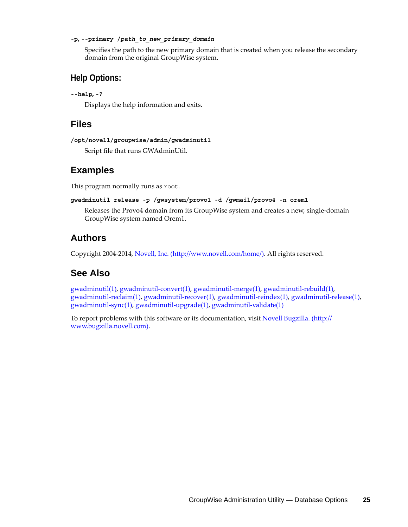#### **-p, --primary /***path\_to\_new\_primary\_domain*

Specifies the path to the new primary domain that is created when you release the secondary domain from the original GroupWise system.

### **Help Options:**

```
--help, -?
```
Displays the help information and exits.

### **Files**

```
/opt/novell/groupwise/admin/gwadminutil
```
Script file that runs GWAdminUtil.

### **Examples**

This program normally runs as root.

```
gwadminutil release -p /gwsystem/provo1 -d /gwmail/provo4 -n orem1
```
Releases the Provo4 domain from its GroupWise system and creates a new, single-domain GroupWise system named Orem1.

### **Authors**

Copyright 2004-2014, [Novell, Inc.](http://www.novell.com/home/) (http://www.novell.com/home/). All rights reserved.

## **See Also**

gwadminutil(1), gwadminutil-convert(1), gwadminutil-merge(1), gwadminutil-rebuild(1), gwadminutil-reclaim(1), gwadminutil-recover(1), gwadminutil-reindex(1), gwadminutil-release(1), gwadminutil-sync(1), gwadminutil-upgrade(1), gwadminutil-validate(1)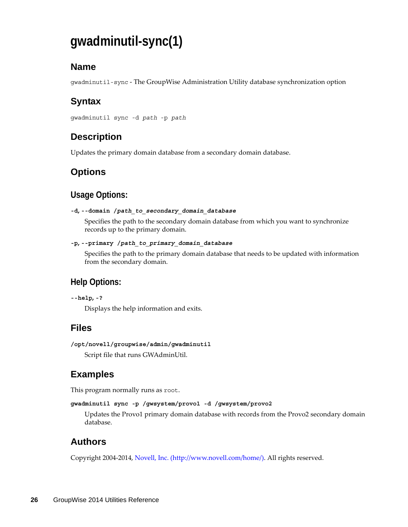# <span id="page-25-0"></span>**gwadminutil-sync(1)**

## **Name**

gwadminutil-sync - The GroupWise Administration Utility database synchronization option

# **Syntax**

gwadminutil sync -d *path* -p *path*

# **Description**

Updates the primary domain database from a secondary domain database.

# **Options**

### **Usage Options:**

```
-d, --domain /path_to_secondary_domain_database
```
Specifies the path to the secondary domain database from which you want to synchronize records up to the primary domain.

```
-p, --primary /path_to_primary_domain_database
```
Specifies the path to the primary domain database that needs to be updated with information from the secondary domain.

## **Help Options:**

```
--help, -?
```
Displays the help information and exits.

# **Files**

```
/opt/novell/groupwise/admin/gwadminutil
Script file that runs GWAdminUtil.
```
# **Examples**

This program normally runs as root.

```
gwadminutil sync -p /gwsystem/provo1 -d /gwsystem/provo2
```
Updates the Provo1 primary domain database with records from the Provo2 secondary domain database.

## **Authors**

Copyright 2004-2014, [Novell, Inc.](http://www.novell.com/home/) (http://www.novell.com/home/). All rights reserved.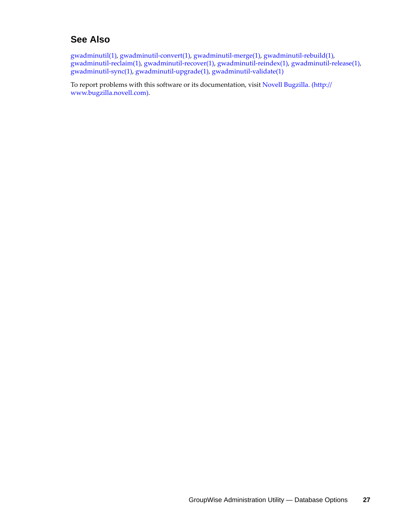### **See Also**

gwadminutil(1), gwadminutil-convert(1), gwadminutil-merge(1), gwadminutil-rebuild(1), gwadminutil-reclaim(1), gwadminutil-recover(1), gwadminutil-reindex(1), gwadminutil-release(1), gwadminutil-sync(1), gwadminutil-upgrade(1), gwadminutil-validate(1)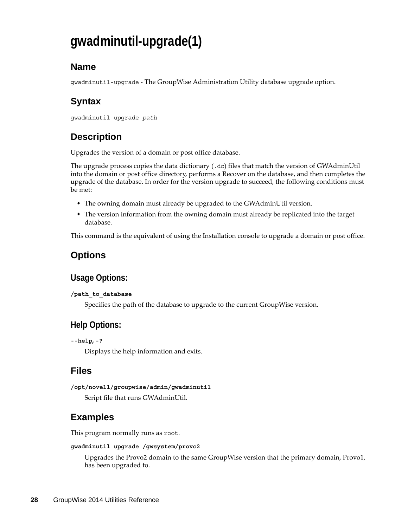# <span id="page-27-0"></span>**gwadminutil-upgrade(1)**

## **Name**

gwadminutil-upgrade - The GroupWise Administration Utility database upgrade option.

# **Syntax**

```
gwadminutil upgrade path
```
# **Description**

Upgrades the version of a domain or post office database.

The upgrade process copies the data dictionary (.dc) files that match the version of GWAdminUtil into the domain or post office directory, performs a Recover on the database, and then completes the upgrade of the database. In order for the version upgrade to succeed, the following conditions must be met:

- The owning domain must already be upgraded to the GWAdminUtil version.
- The version information from the owning domain must already be replicated into the target database.

This command is the equivalent of using the Installation console to upgrade a domain or post office.

# **Options**

## **Usage Options:**

#### **/path\_to\_database**

Specifies the path of the database to upgrade to the current GroupWise version.

## **Help Options:**

```
--help, -?
```
Displays the help information and exits.

## **Files**

**/opt/novell/groupwise/admin/gwadminutil**

Script file that runs GWAdminUtil.

# **Examples**

This program normally runs as root.

#### **gwadminutil upgrade /gwsystem/provo2**

Upgrades the Provo2 domain to the same GroupWise version that the primary domain, Provo1, has been upgraded to.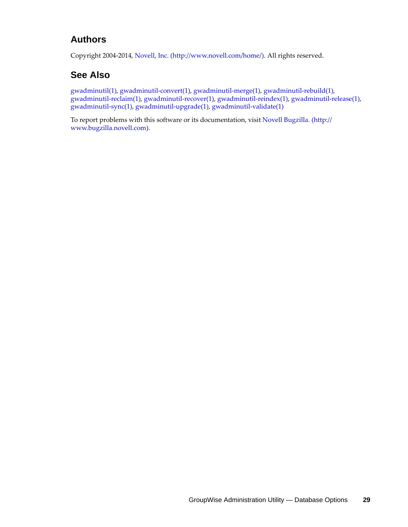### **Authors**

Copyright 2004-2014, [Novell, Inc.](http://www.novell.com/home/) (http://www.novell.com/home/). All rights reserved.

## **See Also**

gwadminutil(1), gwadminutil-convert(1), gwadminutil-merge(1), gwadminutil-rebuild(1), gwadminutil-reclaim(1), gwadminutil-recover(1), gwadminutil-reindex(1), gwadminutil-release(1), gwadminutil-sync(1), gwadminutil-upgrade(1), gwadminutil-validate(1)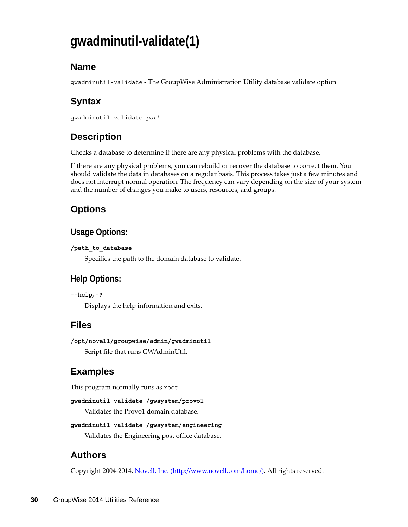# <span id="page-29-0"></span>**gwadminutil-validate(1)**

## **Name**

gwadminutil-validate - The GroupWise Administration Utility database validate option

# **Syntax**

```
gwadminutil validate path
```
# **Description**

Checks a database to determine if there are any physical problems with the database.

If there are any physical problems, you can rebuild or recover the database to correct them. You should validate the data in databases on a regular basis. This process takes just a few minutes and does not interrupt normal operation. The frequency can vary depending on the size of your system and the number of changes you make to users, resources, and groups.

# **Options**

## **Usage Options:**

#### **/path\_to\_database**

Specifies the path to the domain database to validate.

# **Help Options:**

**--help, -?**

Displays the help information and exits.

# **Files**

```
/opt/novell/groupwise/admin/gwadminutil
Script file that runs GWAdminUtil.
```
# **Examples**

This program normally runs as root.

```
gwadminutil validate /gwsystem/provo1
```
Validates the Provo1 domain database.

```
gwadminutil validate /gwsystem/engineering
```
Validates the Engineering post office database.

# **Authors**

Copyright 2004-2014, [Novell, Inc.](http://www.novell.com/home/) (http://www.novell.com/home/). All rights reserved.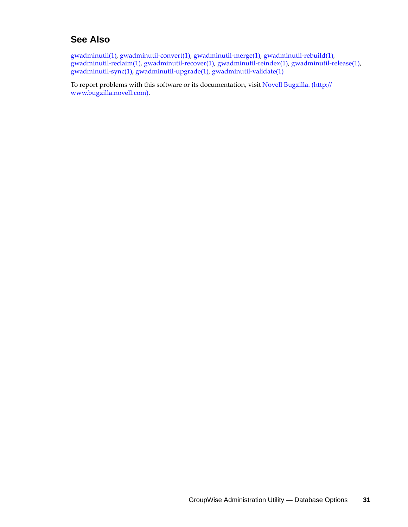### **See Also**

gwadminutil(1), gwadminutil-convert(1), gwadminutil-merge(1), gwadminutil-rebuild(1), gwadminutil-reclaim(1), gwadminutil-recover(1), gwadminutil-reindex(1), gwadminutil-release(1), gwadminutil-sync(1), gwadminutil-upgrade(1), gwadminutil-validate(1)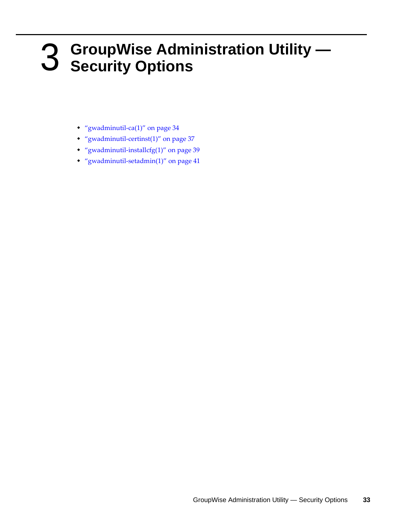# <span id="page-32-0"></span>3 <sup>3</sup>**GroupWise Administration Utility — Security Options**

- <span id="page-32-1"></span>["gwadminutil-ca\(1\)" on page 34](#page-33-0)
- ["gwadminutil-certinst\(1\)" on page 37](#page-36-0)
- ["gwadminutil-installcfg\(1\)" on page 39](#page-38-0)
- ["gwadminutil-setadmin\(1\)" on page 41](#page-40-0)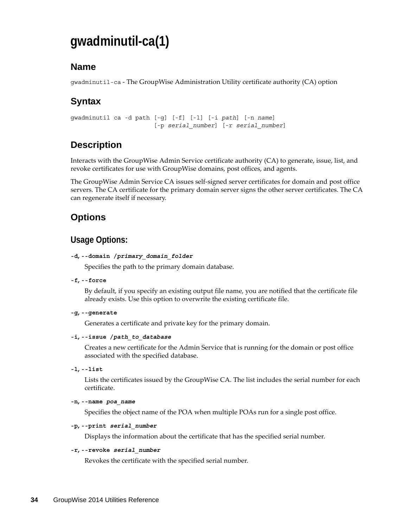# <span id="page-33-0"></span>**gwadminutil-ca(1)**

### **Name**

gwadminutil-ca - The GroupWise Administration Utility certificate authority (CA) option

# **Syntax**

```
gwadminutil ca -d path [-g] [-f] [-l] [-i path] [-n name]
                    [-p serial_number] [-r serial_number]
```
# **Description**

Interacts with the GroupWise Admin Service certificate authority (CA) to generate, issue, list, and revoke certificates for use with GroupWise domains, post offices, and agents.

The GroupWise Admin Service CA issues self-signed server certificates for domain and post office servers. The CA certificate for the primary domain server signs the other server certificates. The CA can regenerate itself if necessary.

### **Options**

### **Usage Options:**

#### **-d, --domain /***primary\_domain\_folder*

Specifies the path to the primary domain database.

**-f, --force**

By default, if you specify an existing output file name, you are notified that the certificate file already exists. Use this option to overwrite the existing certificate file.

**-g, --generate**

Generates a certificate and private key for the primary domain.

#### **-i, --issue /***path\_to\_database*

Creates a new certificate for the Admin Service that is running for the domain or post office associated with the specified database.

**-l, --list**

Lists the certificates issued by the GroupWise CA. The list includes the serial number for each certificate.

```
-n, --name poa_name
```
Specifies the object name of the POA when multiple POAs run for a single post office.

#### **-p, --print** *serial\_number*

Displays the information about the certificate that has the specified serial number.

#### **-r, --revoke** *serial\_number*

Revokes the certificate with the specified serial number.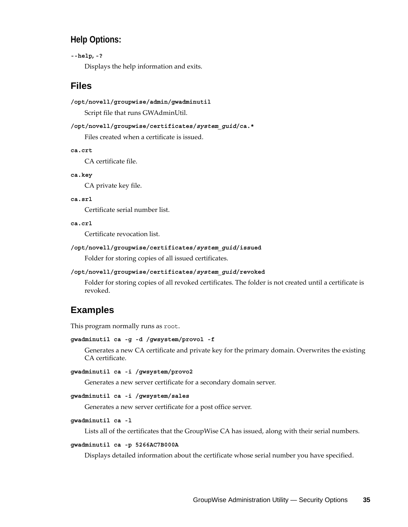### **Help Options:**

#### **--help, -?**

Displays the help information and exits.

### **Files**

#### **/opt/novell/groupwise/admin/gwadminutil**

Script file that runs GWAdminUtil.

#### **/opt/novell/groupwise/certificates/***system\_guid***/ca.\***

Files created when a certificate is issued.

**ca.crt**

CA certificate file.

#### **ca.key**

CA private key file.

#### **ca.srl**

Certificate serial number list.

#### **ca.crl**

Certificate revocation list.

#### **/opt/novell/groupwise/certificates/***system\_guid***/issued**

Folder for storing copies of all issued certificates.

#### **/opt/novell/groupwise/certificates/***system\_guid***/revoked**

Folder for storing copies of all revoked certificates. The folder is not created until a certificate is revoked.

### **Examples**

This program normally runs as root.

#### **gwadminutil ca -g -d /gwsystem/provo1 -f**

Generates a new CA certificate and private key for the primary domain. Overwrites the existing CA certificate.

#### **gwadminutil ca -i /gwsystem/provo2**

Generates a new server certificate for a secondary domain server.

#### **gwadminutil ca -i /gwsystem/sales**

Generates a new server certificate for a post office server.

#### **gwadminutil ca -l**

Lists all of the certificates that the GroupWise CA has issued, along with their serial numbers.

#### **gwadminutil ca -p 5266AC7B000A**

Displays detailed information about the certificate whose serial number you have specified.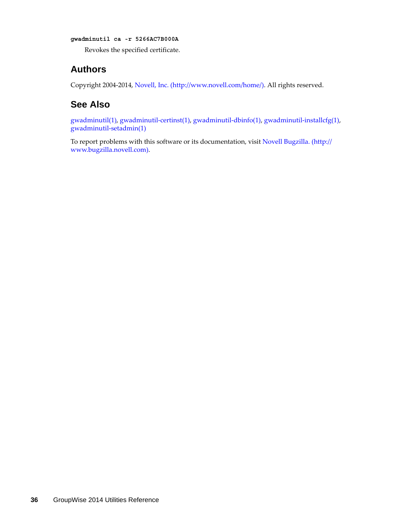**gwadminutil ca -r 5266AC7B000A**

Revokes the specified certificate.

### **Authors**

Copyright 2004-2014, [Novell, Inc.](http://www.novell.com/home/) (http://www.novell.com/home/). All rights reserved.

### **See Also**

gwadminutil(1), gwadminutil-certinst(1), gwadminutil-dbinfo(1), gwadminutil-installcfg(1), gwadminutil-setadmin(1)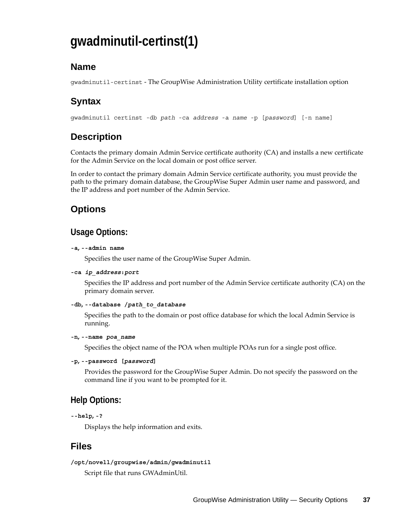# **gwadminutil-certinst(1)**

## **Name**

gwadminutil-certinst - The GroupWise Administration Utility certificate installation option

# **Syntax**

gwadminutil certinst -db *path* -ca *address* -a *name* -p [*password*] [-n name]

# **Description**

Contacts the primary domain Admin Service certificate authority (CA) and installs a new certificate for the Admin Service on the local domain or post office server.

In order to contact the primary domain Admin Service certificate authority, you must provide the path to the primary domain database, the GroupWise Super Admin user name and password, and the IP address and port number of the Admin Service.

# **Options**

### **Usage Options:**

#### **-a, --admin name**

Specifies the user name of the GroupWise Super Admin.

#### **-ca** *ip\_address***:***port*

Specifies the IP address and port number of the Admin Service certificate authority (CA) on the primary domain server.

#### **-db, --database /***path\_to\_database*

Specifies the path to the domain or post office database for which the local Admin Service is running.

#### **-n, --name** *poa\_name*

Specifies the object name of the POA when multiple POAs run for a single post office.

#### **-p, --password [***password***]**

Provides the password for the GroupWise Super Admin. Do not specify the password on the command line if you want to be prompted for it.

### **Help Options:**

```
--help, -?
```
Displays the help information and exits.

### **Files**

#### **/opt/novell/groupwise/admin/gwadminutil**

Script file that runs GWAdminUtil.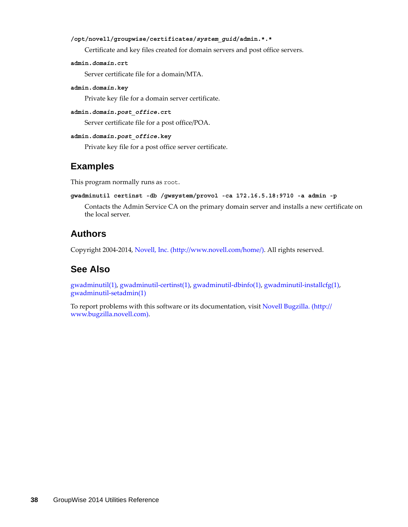#### **/opt/novell/groupwise/certificates/***system\_guid***/admin.\*.\***

Certificate and key files created for domain servers and post office servers.

**admin.***domain***.crt**

Server certificate file for a domain/MTA.

**admin.***domain***.key**

Private key file for a domain server certificate.

**admin.***domain***.***post\_office***.crt**

Server certificate file for a post office/POA.

```
admin.domain.post_office.key
```
Private key file for a post office server certificate.

#### **Examples**

This program normally runs as root.

```
gwadminutil certinst -db /gwsystem/provo1 -ca 172.16.5.18:9710 -a admin -p
```
Contacts the Admin Service CA on the primary domain server and installs a new certificate on the local server.

#### **Authors**

Copyright 2004-2014, [Novell, Inc.](http://www.novell.com/home/) (http://www.novell.com/home/). All rights reserved.

#### **See Also**

gwadminutil(1), gwadminutil-certinst(1), gwadminutil-dbinfo(1), gwadminutil-installcfg(1), gwadminutil-setadmin(1)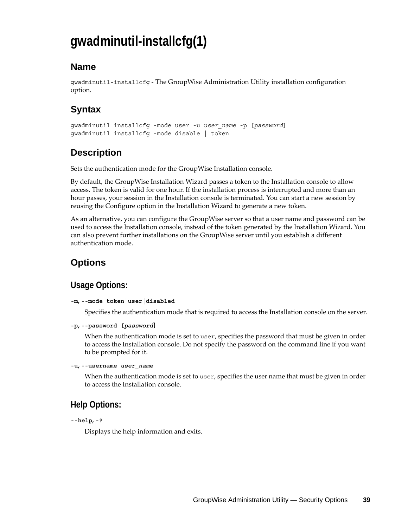# **gwadminutil-installcfg(1)**

### **Name**

gwadminutil-installcfg - The GroupWise Administration Utility installation configuration option.

# **Syntax**

```
gwadminutil installcfg -mode user -u user_name -p [password]
gwadminutil installcfg -mode disable | token
```
# **Description**

Sets the authentication mode for the GroupWise Installation console.

By default, the GroupWise Installation Wizard passes a token to the Installation console to allow access. The token is valid for one hour. If the installation process is interrupted and more than an hour passes, your session in the Installation console is terminated. You can start a new session by reusing the Configure option in the Installation Wizard to generate a new token.

As an alternative, you can configure the GroupWise server so that a user name and password can be used to access the Installation console, instead of the token generated by the Installation Wizard. You can also prevent further installations on the GroupWise server until you establish a different authentication mode.

# **Options**

## **Usage Options:**

```
-m, --mode token|user|disabled
```
Specifies the authentication mode that is required to access the Installation console on the server.

```
-p, --password [password]
```
When the authentication mode is set to user, specifies the password that must be given in order to access the Installation console. Do not specify the password on the command line if you want to be prompted for it.

#### **-u, --username** *user\_name*

When the authentication mode is set to user, specifies the user name that must be given in order to access the Installation console.

## **Help Options:**

```
--help, -?
```
Displays the help information and exits.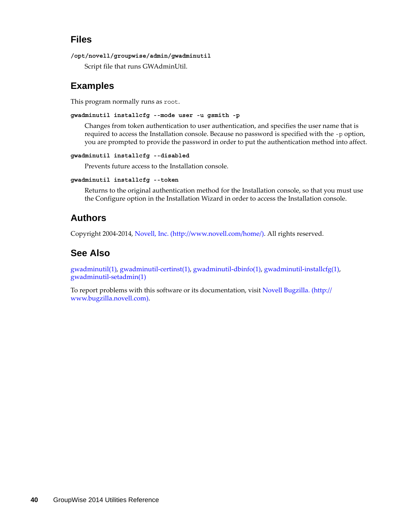### **Files**

```
/opt/novell/groupwise/admin/gwadminutil
```
Script file that runs GWAdminUtil.

## **Examples**

This program normally runs as root.

**gwadminutil installcfg --mode user -u gsmith -p** 

Changes from token authentication to user authentication, and specifies the user name that is required to access the Installation console. Because no password is specified with the -p option, you are prompted to provide the password in order to put the authentication method into affect.

#### **gwadminutil installcfg --disabled**

Prevents future access to the Installation console.

#### **gwadminutil installcfg --token**

Returns to the original authentication method for the Installation console, so that you must use the Configure option in the Installation Wizard in order to access the Installation console.

### **Authors**

Copyright 2004-2014, [Novell, Inc.](http://www.novell.com/home/) (http://www.novell.com/home/). All rights reserved.

### **See Also**

gwadminutil(1), gwadminutil-certinst(1), gwadminutil-dbinfo(1), gwadminutil-installcfg(1), gwadminutil-setadmin(1)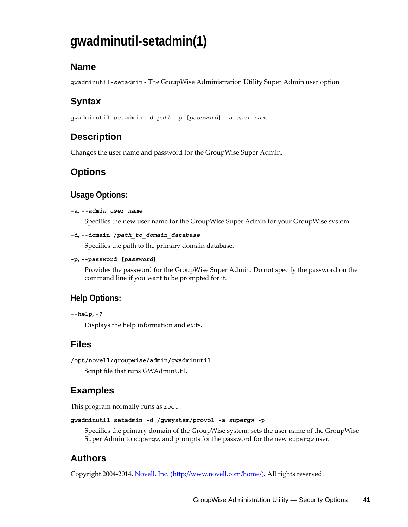# **gwadminutil-setadmin(1)**

## **Name**

gwadminutil-setadmin - The GroupWise Administration Utility Super Admin user option

# **Syntax**

gwadminutil setadmin -d *path* -p [*password*] -a *user\_name*

# **Description**

Changes the user name and password for the GroupWise Super Admin.

## **Options**

### **Usage Options:**

#### **-a,** *--admin user\_name*

Specifies the new user name for the GroupWise Super Admin for your GroupWise system.

```
-d, --domain /path_to_domain_database
```
Specifies the path to the primary domain database.

```
-p, --password [password]
```
Provides the password for the GroupWise Super Admin. Do not specify the password on the command line if you want to be prompted for it.

### **Help Options:**

```
--help, -?
```
Displays the help information and exits.

### **Files**

```
/opt/novell/groupwise/admin/gwadminutil
```
Script file that runs GWAdminUtil.

## **Examples**

This program normally runs as root.

```
gwadminutil setadmin -d /gwsystem/provo1 -a supergw -p
```
Specifies the primary domain of the GroupWise system, sets the user name of the GroupWise Super Admin to supergw, and prompts for the password for the new supergw user.

# **Authors**

Copyright 2004-2014, [Novell, Inc.](http://www.novell.com/home/) (http://www.novell.com/home/). All rights reserved.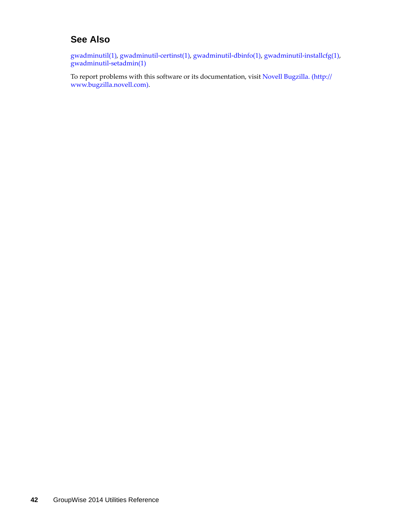## **See Also**

gwadminutil(1), gwadminutil-certinst(1), gwadminutil-dbinfo(1), gwadminutil-installcfg(1), gwadminutil-setadmin(1)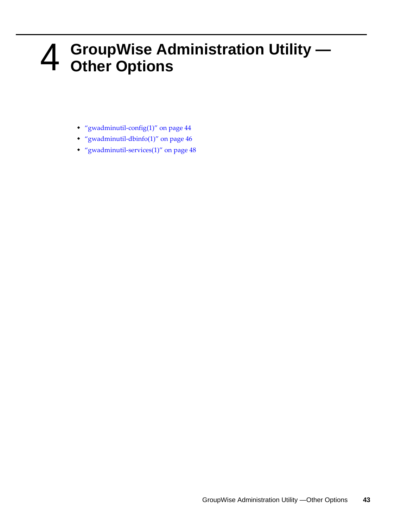# 4 <sup>4</sup>**GroupWise Administration Utility — Other Options**

- ["gwadminutil-config\(1\)" on page 44](#page-43-0)
- ["gwadminutil-dbinfo\(1\)" on page 46](#page-45-0)
- ["gwadminutil-services\(1\)" on page 48](#page-47-0)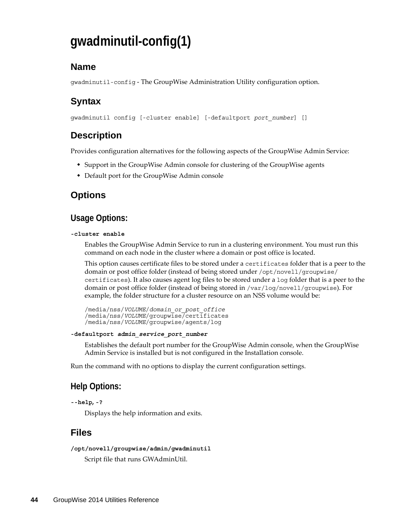# <span id="page-43-0"></span>**gwadminutil-config(1)**

### **Name**

gwadminutil-config - The GroupWise Administration Utility configuration option.

# **Syntax**

gwadminutil config [-cluster enable] [-defaultport *port\_number*] []

### **Description**

Provides configuration alternatives for the following aspects of the GroupWise Admin Service:

- Support in the GroupWise Admin console for clustering of the GroupWise agents
- Default port for the GroupWise Admin console

### **Options**

#### **Usage Options:**

#### **-cluster enable**

Enables the GroupWise Admin Service to run in a clustering environment. You must run this command on each node in the cluster where a domain or post office is located.

This option causes certificate files to be stored under a certificates folder that is a peer to the domain or post office folder (instead of being stored under /opt/novell/groupwise/ certificates). It also causes agent log files to be stored under a log folder that is a peer to the domain or post office folder (instead of being stored in /var/log/novell/groupwise). For example, the folder structure for a cluster resource on an NSS volume would be:

```
/media/nss/VOLUME/domain_or_post_office
/media/nss/VOLUME/groupwise/certificates
/media/nss/VOLUME/groupwise/agents/log
```
#### **-defaultport** *admin\_service\_port\_number*

Establishes the default port number for the GroupWise Admin console, when the GroupWise Admin Service is installed but is not configured in the Installation console.

Run the command with no options to display the current configuration settings.

### **Help Options:**

```
--help, -?
```
Displays the help information and exits.

### **Files**

```
/opt/novell/groupwise/admin/gwadminutil
```
Script file that runs GWAdminUtil.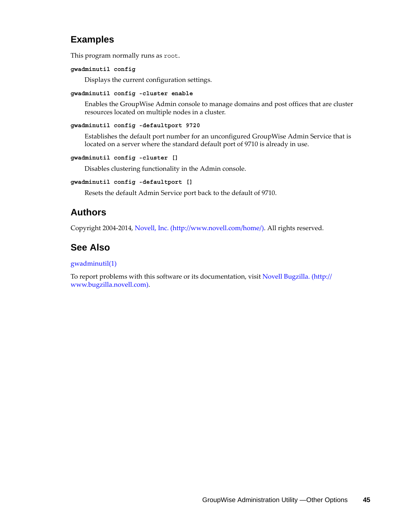### **Examples**

This program normally runs as root.

#### **gwadminutil config**

Displays the current configuration settings.

#### **gwadminutil config -cluster enable**

Enables the GroupWise Admin console to manage domains and post offices that are cluster resources located on multiple nodes in a cluster.

#### **gwadminutil config -defaultport 9720**

Establishes the default port number for an unconfigured GroupWise Admin Service that is located on a server where the standard default port of 9710 is already in use.

#### **gwadminutil config -cluster []**

Disables clustering functionality in the Admin console.

#### **gwadminutil config -defaultport []**

Resets the default Admin Service port back to the default of 9710.

### **Authors**

Copyright 2004-2014, [Novell, Inc.](http://www.novell.com/home/) (http://www.novell.com/home/). All rights reserved.

### **See Also**

#### gwadminutil(1)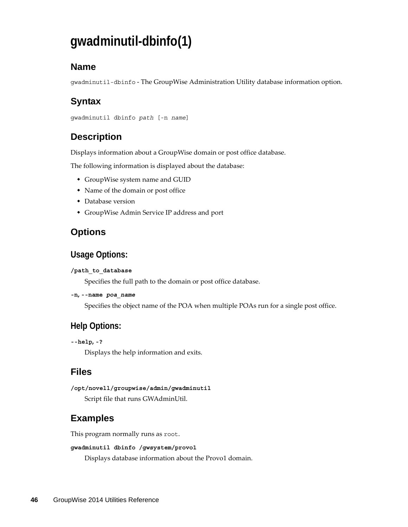# <span id="page-45-0"></span>**gwadminutil-dbinfo(1)**

## **Name**

gwadminutil-dbinfo - The GroupWise Administration Utility database information option.

# **Syntax**

```
gwadminutil dbinfo path [-n name]
```
# **Description**

Displays information about a GroupWise domain or post office database.

The following information is displayed about the database:

- GroupWise system name and GUID
- Name of the domain or post office
- Database version
- GroupWise Admin Service IP address and port

## **Options**

### **Usage Options:**

#### **/path\_to\_database**

Specifies the full path to the domain or post office database.

#### **-n, --name** *poa\_name*

Specifies the object name of the POA when multiple POAs run for a single post office.

## **Help Options:**

```
--help, -?
```
Displays the help information and exits.

### **Files**

**/opt/novell/groupwise/admin/gwadminutil** Script file that runs GWAdminUtil.

# **Examples**

This program normally runs as root.

#### **gwadminutil dbinfo /gwsystem/provo1**

Displays database information about the Provo1 domain.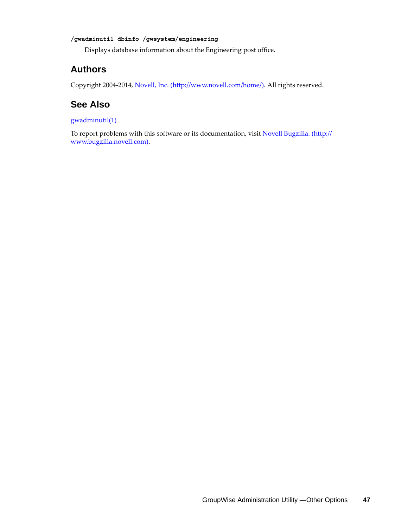#### **/gwadminutil dbinfo /gwsystem/engineering**

Displays database information about the Engineering post office.

#### **Authors**

Copyright 2004-2014, [Novell, Inc.](http://www.novell.com/home/) (http://www.novell.com/home/). All rights reserved.

### **See Also**

#### gwadminutil(1)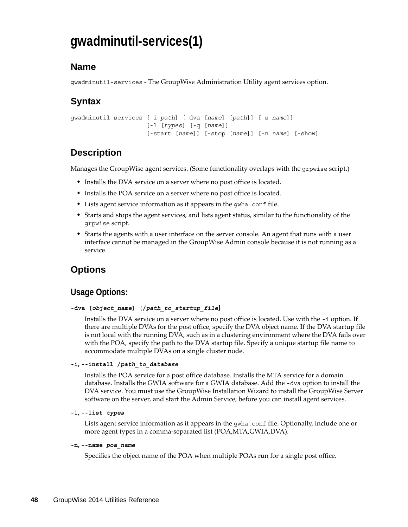# <span id="page-47-0"></span>**gwadminutil-services(1)**

### **Name**

gwadminutil-services - The GroupWise Administration Utility agent services option.

# **Syntax**

```
gwadminutil services [-i path] [-dva [name] [path]] [-s name]]
                      [-l [types] [-q [name]]
                      [-start [name]] [-stop [name]] [-n name] [-show]
```
# **Description**

Manages the GroupWise agent services. (Some functionality overlaps with the grpwise script.)

- Installs the DVA service on a server where no post office is located.
- Installs the POA service on a server where no post office is located.
- Lists agent service information as it appears in the gwha.conf file.
- Starts and stops the agent services, and lists agent status, similar to the functionality of the grpwise script.
- Starts the agents with a user interface on the server console. An agent that runs with a user interface cannot be managed in the GroupWise Admin console because it is not running as a service.

# **Options**

### **Usage Options:**

#### **-dva [***object\_name***] [/***path\_to\_startup\_file***]**

Installs the DVA service on a server where no post office is located. Use with the -i option. If there are multiple DVAs for the post office, specify the DVA object name. If the DVA startup file is not local with the running DVA, such as in a clustering environment where the DVA fails over with the POA, specify the path to the DVA startup file. Specify a unique startup file name to accommodate multiple DVAs on a single cluster node.

#### **-i, --install /***path\_to\_database*

Installs the POA service for a post office database. Installs the MTA service for a domain database. Installs the GWIA software for a GWIA database. Add the -dva option to install the DVA service. You must use the GroupWise Installation Wizard to install the GroupWise Server software on the server, and start the Admin Service, before you can install agent services.

#### **-l, --list** *types*

Lists agent service information as it appears in the gwha.conf file. Optionally, include one or more agent types in a comma-separated list (POA,MTA,GWIA,DVA).

#### **-n, --name** *poa\_name*

Specifies the object name of the POA when multiple POAs run for a single post office.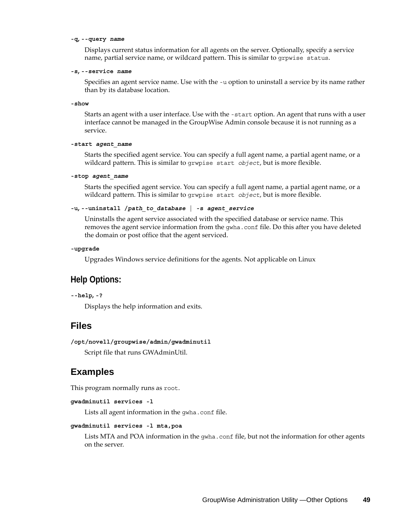#### **-q, --query** *name*

Displays current status information for all agents on the server. Optionally, specify a service name, partial service name, or wildcard pattern. This is similar to grpwise status.

#### **-s, --service** *name*

Specifies an agent service name. Use with the -u option to uninstall a service by its name rather than by its database location.

**-show**

Starts an agent with a user interface. Use with the -start option. An agent that runs with a user interface cannot be managed in the GroupWise Admin console because it is not running as a service.

#### **-start** *agent\_name*

Starts the specified agent service. You can specify a full agent name, a partial agent name, or a wildcard pattern. This is similar to grwpise start *object*, but is more flexible.

#### **-stop** *agent\_name*

Starts the specified agent service. You can specify a full agent name, a partial agent name, or a wildcard pattern. This is similar to grwpise start *object*, but is more flexible.

#### **-u, --uninstall /***path\_to\_database* **| -s** *agent\_service*

Uninstalls the agent service associated with the specified database or service name. This removes the agent service information from the gwha.conf file. Do this after you have deleted the domain or post office that the agent serviced.

#### **-upgrade**

Upgrades Windows service definitions for the agents. Not applicable on Linux

#### **Help Options:**

**--help, -?**

Displays the help information and exits.

#### **Files**

```
/opt/novell/groupwise/admin/gwadminutil
```
Script file that runs GWAdminUtil.

#### **Examples**

This program normally runs as root.

```
gwadminutil services -l
```
Lists all agent information in the gwha.conf file.

#### **gwadminutil services -l mta,poa**

Lists MTA and POA information in the gwha.conf file, but not the information for other agents on the server.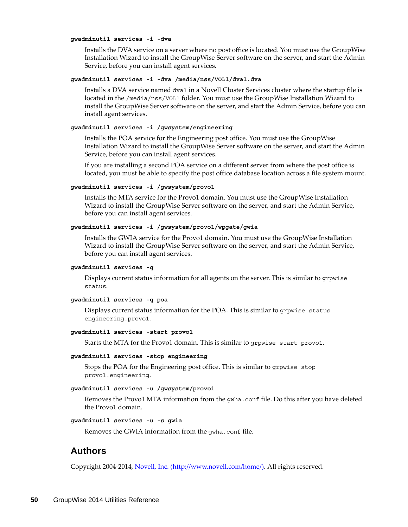#### **gwadminutil services -i -dva**

Installs the DVA service on a server where no post office is located. You must use the GroupWise Installation Wizard to install the GroupWise Server software on the server, and start the Admin Service, before you can install agent services.

#### **gwadminutil services -i -dva /media/nss/VOL1/dva1.dva**

Installs a DVA service named dva1 in a Novell Cluster Services cluster where the startup file is located in the /media/nss/VOL1 folder. You must use the GroupWise Installation Wizard to install the GroupWise Server software on the server, and start the Admin Service, before you can install agent services.

#### **gwadminutil services -i /gwsystem/engineering**

Installs the POA service for the Engineering post office. You must use the GroupWise Installation Wizard to install the GroupWise Server software on the server, and start the Admin Service, before you can install agent services.

If you are installing a second POA service on a different server from where the post office is located, you must be able to specify the post office database location across a file system mount.

#### **gwadminutil services -i /gwsystem/provo1**

Installs the MTA service for the Provo1 domain. You must use the GroupWise Installation Wizard to install the GroupWise Server software on the server, and start the Admin Service, before you can install agent services.

#### **gwadminutil services -i /gwsystem/provo1/wpgate/gwia**

Installs the GWIA service for the Provo1 domain. You must use the GroupWise Installation Wizard to install the GroupWise Server software on the server, and start the Admin Service, before you can install agent services.

#### **gwadminutil services -q**

Displays current status information for all agents on the server. This is similar to grpwise status.

#### **gwadminutil services -q poa**

Displays current status information for the POA. This is similar to grpwise status engineering.provo1.

#### **gwadminutil services -start provo1**

Starts the MTA for the Provo1 domain. This is similar to grpwise start provo1.

#### **gwadminutil services -stop engineering**

Stops the POA for the Engineering post office. This is similar to grpwise stop provo1.engineering.

#### **gwadminutil services -u /gwsystem/provo1**

Removes the Provo1 MTA information from the gwha.conf file. Do this after you have deleted the Provo1 domain.

#### **gwadminutil services -u -s gwia**

Removes the GWIA information from the gwha.conf file.

#### **Authors**

Copyright 2004-2014, [Novell, Inc.](http://www.novell.com/home/) (http://www.novell.com/home/). All rights reserved.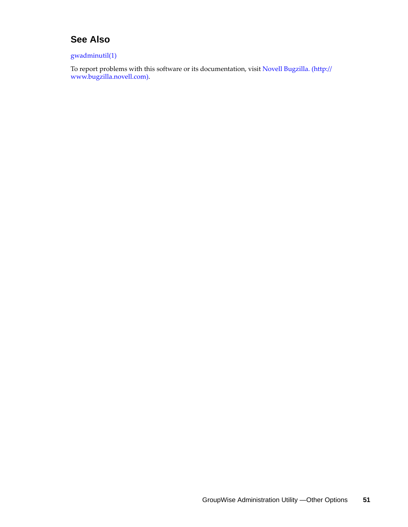## **See Also**

#### gwadminutil(1)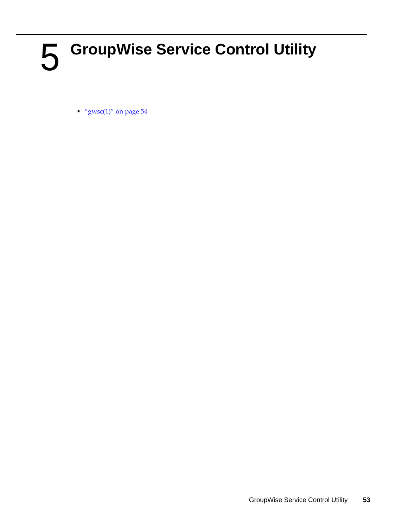# 5 <sup>5</sup>**GroupWise Service Control Utility**

• "gwsc $(1)$ " on page 54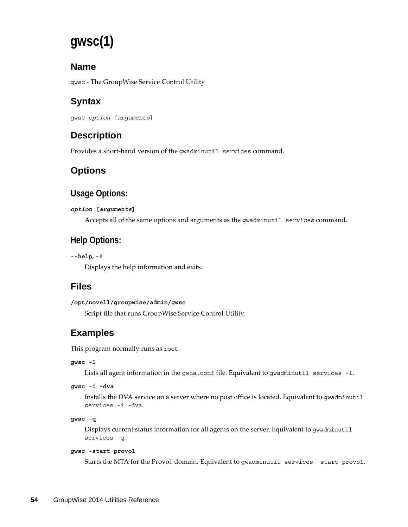# <span id="page-53-0"></span>**gwsc(1)**

## **Name**

gwsc - The GroupWise Service Control Utility

# **Syntax**

```
gwsc option [arguments]
```
# **Description**

Provides a short-hand version of the gwadminutil services command.

# **Options**

## **Usage Options:**

#### *option* **[***arguments***]**

Accepts all of the same options and arguments as the gwadminutil services command.

# **Help Options:**

```
--help, -?
```
Displays the help information and exits.

## **Files**

```
/opt/novell/groupwise/admin/gwsc
```
Script file that runs GroupWise Service Control Utility.

# **Examples**

This program normally runs as root.

#### **gwsc -l**

Lists all agent information in the gwha.conf file. Equivalent to gwadminutil services -l.

#### **gwsc -i -dva**

Installs the DVA service on a server where no post office is located. Equivalent to gwadminutil services -i -dva.

```
gwsc -q
```
Displays current status information for all agents on the server. Equivalent to gwadminutil services -q.

#### **gwsc -start provo1**

Starts the MTA for the Provo1 domain. Equivalent to gwadminutil services -start provo1.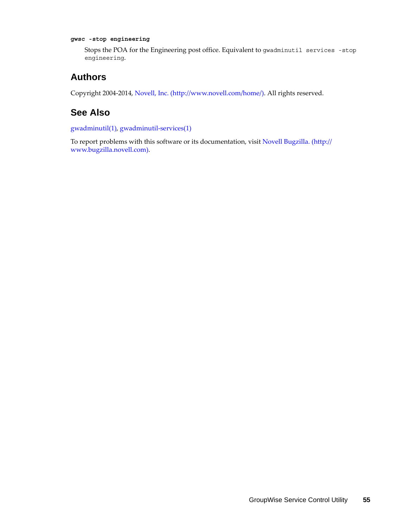#### **gwsc -stop engineering**

Stops the POA for the Engineering post office. Equivalent to gwadminutil services -stop engineering.

### **Authors**

Copyright 2004-2014, [Novell, Inc.](http://www.novell.com/home/) (http://www.novell.com/home/). All rights reserved.

### **See Also**

gwadminutil(1), gwadminutil-services(1)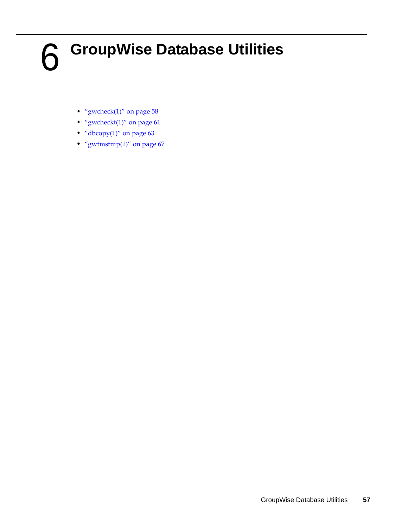# 6 <sup>6</sup>**GroupWise Database Utilities**

- "gwcheck $(1)$ " on page 58
- "gwcheckt $(1)$ " on page 61
- $\cdot$  ["dbcopy\(1\)" on page 63](#page-62-0)
- "gwtmstmp $(1)$ " on page 67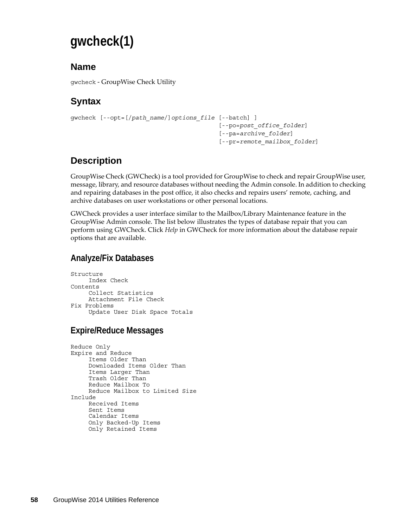# <span id="page-57-0"></span>**gwcheck(1)**

## **Name**

gwcheck - GroupWise Check Utility

# **Syntax**

```
gwcheck [--opt=[/path_name/]options_file [--batch] ] 
                                            [--po=post_office_folder]
                                            [--pa=archive_folder]
                                             [--pr=remote_mailbox_folder]
```
# **Description**

GroupWise Check (GWCheck) is a tool provided for GroupWise to check and repair GroupWise user, message, library, and resource databases without needing the Admin console. In addition to checking and repairing databases in the post office, it also checks and repairs users' remote, caching, and archive databases on user workstations or other personal locations.

GWCheck provides a user interface similar to the Mailbox/Library Maintenance feature in the GroupWise Admin console. The list below illustrates the types of database repair that you can perform using GWCheck. Click *Help* in GWCheck for more information about the database repair options that are available.

## **Analyze/Fix Databases**

```
Structure
    Index Check
Contents
    Collect Statistics
    Attachment File Check
Fix Problems
     Update User Disk Space Totals
```
## **Expire/Reduce Messages**

```
Reduce Only
Expire and Reduce
    Items Older Than
    Downloaded Items Older Than
    Items Larger Than
    Trash Older Than
    Reduce Mailbox To
    Reduce Mailbox to Limited Size
Include
    Received Items
    Sent Items
    Calendar Items
    Only Backed-Up Items
    Only Retained Items
```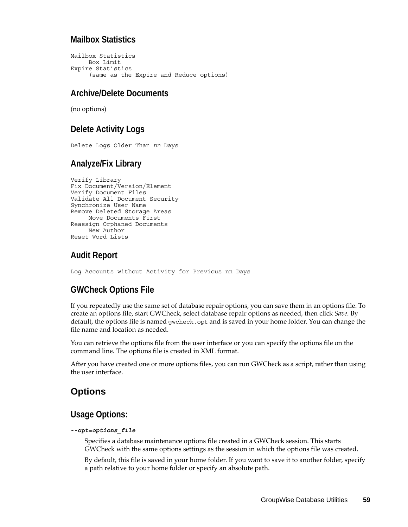#### **Mailbox Statistics**

```
Mailbox Statistics
    Box Limit
Expire Statistics
     (same as the Expire and Reduce options)
```
#### **Archive/Delete Documents**

(no options)

### **Delete Activity Logs**

Delete Logs Older Than *nn* Days

### **Analyze/Fix Library**

```
Verify Library
Fix Document/Version/Element
Verify Document Files
Validate All Document Security
Synchronize User Name
Remove Deleted Storage Areas
    Move Documents First
Reassign Orphaned Documents
   New Author
Reset Word Lists
```
### **Audit Report**

Log Accounts without Activity for Previous nn Days

### **GWCheck Options File**

If you repeatedly use the same set of database repair options, you can save them in an options file. To create an options file, start GWCheck, select database repair options as needed, then click *Save*. By default, the options file is named gwcheck.opt and is saved in your home folder. You can change the file name and location as needed.

You can retrieve the options file from the user interface or you can specify the options file on the command line. The options file is created in XML format.

After you have created one or more options files, you can run GWCheck as a script, rather than using the user interface.

### **Options**

### **Usage Options:**

#### **--opt=***options\_file*

Specifies a database maintenance options file created in a GWCheck session. This starts GWCheck with the same options settings as the session in which the options file was created.

By default, this file is saved in your home folder. If you want to save it to another folder, specify a path relative to your home folder or specify an absolute path.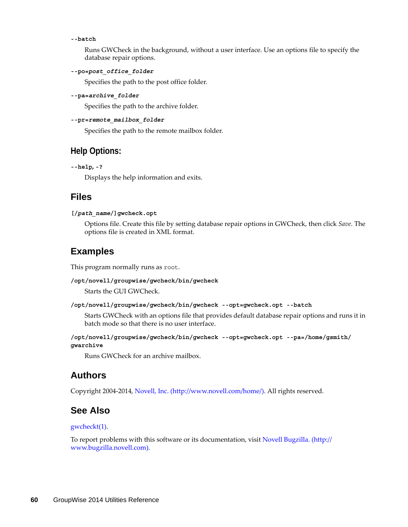#### **--batch**

Runs GWCheck in the background, without a user interface. Use an options file to specify the database repair options.

#### **--po=***post\_office\_folder*

Specifies the path to the post office folder.

**--pa=***archive\_folder*

Specifies the path to the archive folder.

#### **--pr=***remote\_mailbox\_folder*

Specifies the path to the remote mailbox folder.

#### **Help Options:**

```
--help, -?
```
Displays the help information and exits.

#### **Files**

#### **[/***path\_name***/]gwcheck.opt**

Options file. Create this file by setting database repair options in GWCheck, then click *Save*. The options file is created in XML format.

#### **Examples**

This program normally runs as root.

#### **/opt/novell/groupwise/gwcheck/bin/gwcheck**

Starts the GUI GWCheck.

```
/opt/novell/groupwise/gwcheck/bin/gwcheck --opt=gwcheck.opt --batch
```
Starts GWCheck with an options file that provides default database repair options and runs it in batch mode so that there is no user interface.

```
/opt/novell/groupwise/gwcheck/bin/gwcheck --opt=gwcheck.opt --pa=/home/gsmith/
gwarchive
```
Runs GWCheck for an archive mailbox.

#### **Authors**

Copyright 2004-2014, [Novell, Inc.](http://www.novell.com/home/) (http://www.novell.com/home/). All rights reserved.

### **See Also**

#### gwcheckt(1).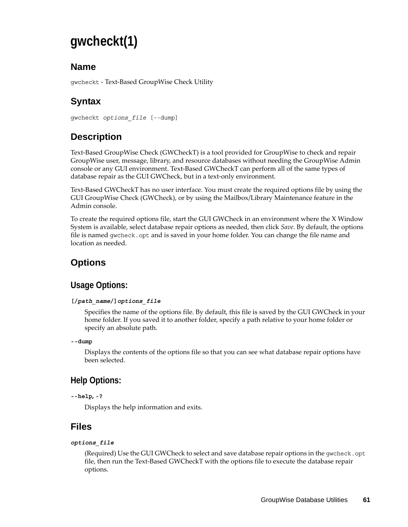# <span id="page-60-0"></span>**gwcheckt(1)**

## **Name**

gwcheckt - Text-Based GroupWise Check Utility

# **Syntax**

```
gwcheckt options_file [--dump]
```
# **Description**

Text-Based GroupWise Check (GWCheckT) is a tool provided for GroupWise to check and repair GroupWise user, message, library, and resource databases without needing the GroupWise Admin console or any GUI environment. Text-Based GWCheckT can perform all of the same types of database repair as the GUI GWCheck, but in a text-only environment.

Text-Based GWCheckT has no user interface. You must create the required options file by using the GUI GroupWise Check (GWCheck), or by using the Mailbox/Library Maintenance feature in the Admin console.

To create the required options file, start the GUI GWCheck in an environment where the X Window System is available, select database repair options as needed, then click *Save*. By default, the options file is named gwcheck.opt and is saved in your home folder. You can change the file name and location as needed.

# **Options**

# **Usage Options:**

#### **[/***path\_name***/]***options\_file*

Specifies the name of the options file. By default, this file is saved by the GUI GWCheck in your home folder. If you saved it to another folder, specify a path relative to your home folder or specify an absolute path.

```
--dump
```
Displays the contents of the options file so that you can see what database repair options have been selected.

# **Help Options:**

**--help, -?**

Displays the help information and exits.

## **Files**

#### *options\_file*

(Required) Use the GUI GWCheck to select and save database repair options in the gwcheck.opt file, then run the Text-Based GWCheckT with the options file to execute the database repair options.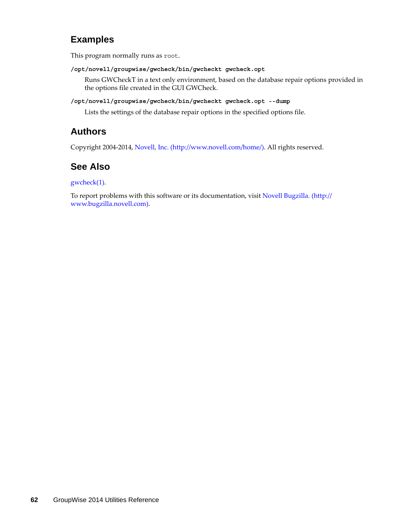### **Examples**

This program normally runs as root.

**/opt/novell/groupwise/gwcheck/bin/gwcheckt gwcheck.opt**

Runs GWCheckT in a text only environment, based on the database repair options provided in the options file created in the GUI GWCheck.

#### **/opt/novell/groupwise/gwcheck/bin/gwcheckt gwcheck.opt --dump**

Lists the settings of the database repair options in the specified options file.

### **Authors**

Copyright 2004-2014, [Novell, Inc.](http://www.novell.com/home/) (http://www.novell.com/home/). All rights reserved.

## **See Also**

gwcheck(1).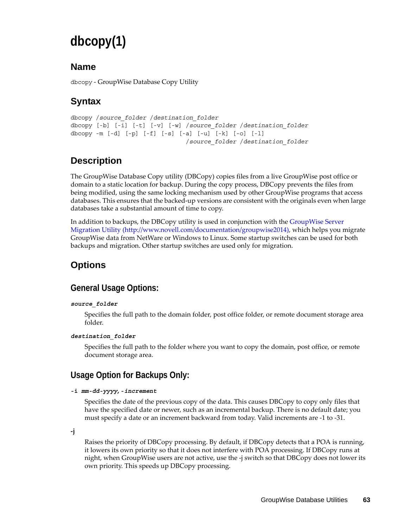# <span id="page-62-0"></span>**dbcopy(1)**

### **Name**

dbcopy - GroupWise Database Copy Utility

# **Syntax**

```
dbcopy /source_folder /destination_folder
dbcopy [-b] [-i] [-t] [-v] [-w] /source_folder /destination_folder
dbcopy -m [-d] [-p] [-f] [-s] [-a] [-u] [-k] [-o] [-l]
                                /source_folder /destination_folder
```
# **Description**

The GroupWise Database Copy utility (DBCopy) copies files from a live GroupWise post office or domain to a static location for backup. During the copy process, DBCopy prevents the files from being modified, using the same locking mechanism used by other GroupWise programs that access databases. This ensures that the backed-up versions are consistent with the originals even when large databases take a substantial amount of time to copy.

In addition to backups, the DBCopy utility is used in conjunction with the [GroupWise Server](http://www.novell.com/documentation/groupwise2014)  [Migration Utility](http://www.novell.com/documentation/groupwise2014) (http://www.novell.com/documentation/groupwise2014), which helps you migrate GroupWise data from NetWare or Windows to Linux. Some startup switches can be used for both backups and migration. Other startup switches are used only for migration.

# **Options**

## **General Usage Options:**

#### *source\_folder*

Specifies the full path to the domain folder, post office folder, or remote document storage area folder.

#### *destination\_folder*

Specifies the full path to the folder where you want to copy the domain, post office, or remote document storage area.

## **Usage Option for Backups Only:**

#### **-i** *mm-dd-yyyy***, -***increment*

Specifies the date of the previous copy of the data. This causes DBCopy to copy only files that have the specified date or newer, such as an incremental backup. There is no default date; you must specify a date or an increment backward from today. Valid increments are -1 to -31.

**-j** 

Raises the priority of DBCopy processing. By default, if DBCopy detects that a POA is running, it lowers its own priority so that it does not interfere with POA processing. If DBCopy runs at night, when GroupWise users are not active, use the -j switch so that DBCopy does not lower its own priority. This speeds up DBCopy processing.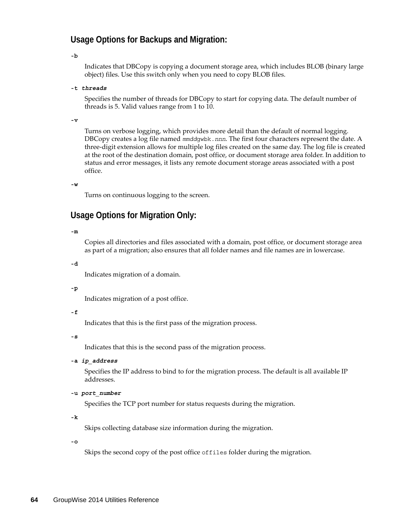#### **Usage Options for Backups and Migration:**

**-b**

Indicates that DBCopy is copying a document storage area, which includes BLOB (binary large object) files. Use this switch only when you need to copy BLOB files.

**-t** *threads*

Specifies the number of threads for DBCopy to start for copying data. The default number of threads is 5. Valid values range from 1 to 10.

**-v**

Turns on verbose logging, which provides more detail than the default of normal logging. DBCopy creates a log file named *mmdd*gwbk.*nnn*. The first four characters represent the date. A three-digit extension allows for multiple log files created on the same day. The log file is created at the root of the destination domain, post office, or document storage area folder. In addition to status and error messages, it lists any remote document storage areas associated with a post office.

**-w**

Turns on continuous logging to the screen.

#### **Usage Options for Migration Only:**

**-m**

Copies all directories and files associated with a domain, post office, or document storage area as part of a migration; also ensures that all folder names and file names are in lowercase.

**-d**

Indicates migration of a domain.

#### **-p**

Indicates migration of a post office.

#### **-f**

Indicates that this is the first pass of the migration process.

**-s**

Indicates that this is the second pass of the migration process.

**-a** *ip\_address*

Specifies the IP address to bind to for the migration process. The default is all available IP addresses.

**-u** *port\_number*

Specifies the TCP port number for status requests during the migration.

**-k**

Skips collecting database size information during the migration.

**-o**

Skips the second copy of the post office offiles folder during the migration.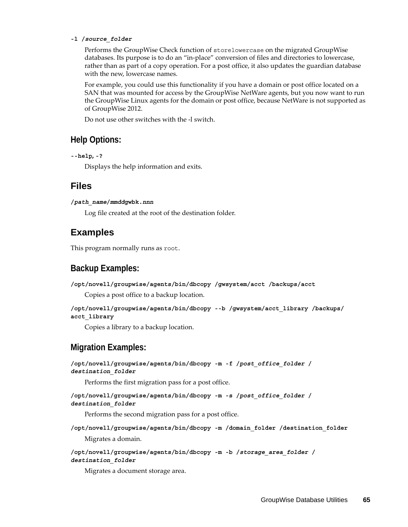#### **-l /***source\_folder*

Performs the GroupWise Check function of storelowercase on the migrated GroupWise databases. Its purpose is to do an "in-place" conversion of files and directories to lowercase, rather than as part of a copy operation. For a post office, it also updates the guardian database with the new, lowercase names.

For example, you could use this functionality if you have a domain or post office located on a SAN that was mounted for access by the GroupWise NetWare agents, but you now want to run the GroupWise Linux agents for the domain or post office, because NetWare is not supported as of GroupWise 2012.

Do not use other switches with the -l switch.

#### **Help Options:**

```
--help, -?
```
Displays the help information and exits.

#### **Files**

**/***path\_name***/***mmdd***gwbk.***nnn*

Log file created at the root of the destination folder.

### **Examples**

This program normally runs as root.

### **Backup Examples:**

**/opt/novell/groupwise/agents/bin/dbcopy /gwsystem/acct /backups/acct**

Copies a post office to a backup location.

```
/opt/novell/groupwise/agents/bin/dbcopy --b /gwsystem/acct_library /backups/
acct_library
```
Copies a library to a backup location.

### **Migration Examples:**

```
/opt/novell/groupwise/agents/bin/dbcopy -m -f /post_office_folder /
destination_folder
    Performs the first migration pass for a post office.
/opt/novell/groupwise/agents/bin/dbcopy -m -s /post_office_folder /
destination_folder
    Performs the second migration pass for a post office.
/opt/novell/groupwise/agents/bin/dbcopy -m /domain_folder /destination_folder
    Migrates a domain.
/opt/novell/groupwise/agents/bin/dbcopy -m -b /storage_area_folder /
destination_folder
    Migrates a document storage area.
```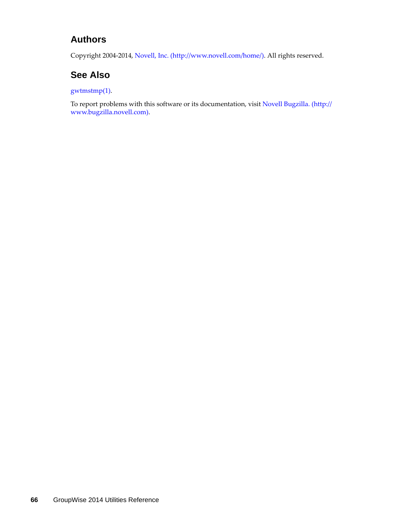### **Authors**

Copyright 2004-2014, [Novell, Inc.](http://www.novell.com/home/) (http://www.novell.com/home/). All rights reserved.

## **See Also**

gwtmstmp(1).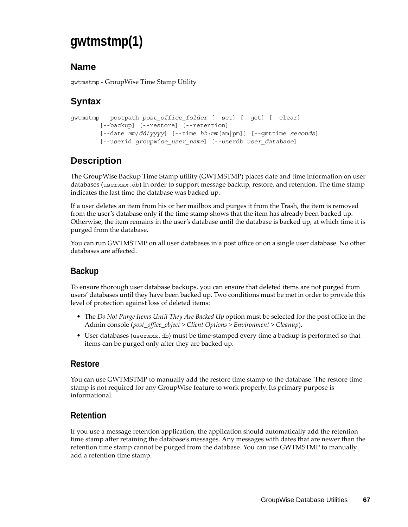# <span id="page-66-0"></span>**gwtmstmp(1)**

## **Name**

gwtmstmp - GroupWise Time Stamp Utility

# **Syntax**

```
gwtmstmp --postpath post_office_folder [--set] [--get] [--clear]
        [--backup] [--restore] [--retention]
         [--date mm/dd/yyyy] [--time hh:mm[am|pm]] [--gmttime seconds]
         [--userid groupwise_user_name] [--userdb user_database]
```
# **Description**

The GroupWise Backup Time Stamp utility (GWTMSTMP) places date and time information on user databases (user*xxx*.db) in order to support message backup, restore, and retention. The time stamp indicates the last time the database was backed up.

If a user deletes an item from his or her mailbox and purges it from the Trash, the item is removed from the user's database only if the time stamp shows that the item has already been backed up. Otherwise, the item remains in the user's database until the database is backed up, at which time it is purged from the database.

You can run GWTMSTMP on all user databases in a post office or on a single user database. No other databases are affected.

# **Backup**

To ensure thorough user database backups, you can ensure that deleted items are not purged from users' databases until they have been backed up. Two conditions must be met in order to provide this level of protection against loss of deleted items:

- The *Do Not Purge Items Until They Are Backed Up* option must be selected for the post office in the Admin console (*post\_office\_object > Client Options > Environment > Cleanup*).
- User databases (user*xxx*.db) must be time-stamped every time a backup is performed so that items can be purged only after they are backed up.

### **Restore**

You can use GWTMSTMP to manually add the restore time stamp to the database. The restore time stamp is not required for any GroupWise feature to work properly. Its primary purpose is informational.

## **Retention**

If you use a message retention application, the application should automatically add the retention time stamp after retaining the database's messages. Any messages with dates that are newer than the retention time stamp cannot be purged from the database. You can use GWTMSTMP to manually add a retention time stamp.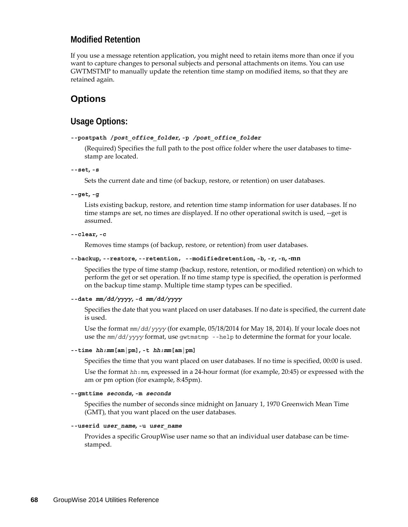#### **Modified Retention**

If you use a message retention application, you might need to retain items more than once if you want to capture changes to personal subjects and personal attachments on items. You can use GWTMSTMP to manually update the retention time stamp on modified items, so that they are retained again.

### **Options**

#### **Usage Options:**

#### **--postpath /***post\_office\_folder***, -p** */post\_office\_folder*

(Required) Specifies the full path to the post office folder where the user databases to timestamp are located.

**--set, -s**

Sets the current date and time (of backup, restore, or retention) on user databases.

```
--get, -g
```
Lists existing backup, restore, and retention time stamp information for user databases. If no time stamps are set, no times are displayed. If no other operational switch is used, --get is assumed.

```
--clear, -c
```
Removes time stamps (of backup, restore, or retention) from user databases.

```
--backup, --restore, --retention, --modifiedretention, -b, -r, -n, -mn
```
Specifies the type of time stamp (backup, restore, retention, or modified retention) on which to perform the get or set operation. If no time stamp type is specified, the operation is performed on the backup time stamp. Multiple time stamp types can be specified.

```
--date mm/dd/yyyy, -d mm/dd/yyyy
```
Specifies the date that you want placed on user databases. If no date is specified, the current date is used.

Use the format *mm*/*dd*/*yyyy* (for example, 05/18/2014 for May 18, 2014). If your locale does not use the *mm*/*dd*/*yyyy* format, use gwtmstmp --help to determine the format for your locale.

#### **--time** *hh:mm***[am|pm], -t** *hh:mm***[am|pm]**

Specifies the time that you want placed on user databases. If no time is specified, 00:00 is used.

Use the format *hh*:*mm*, expressed in a 24-hour format (for example, 20:45) or expressed with the am or pm option (for example, 8:45pm).

#### **--gmttime** *seconds***, -m** *seconds*

Specifies the number of seconds since midnight on January 1, 1970 Greenwich Mean Time (GMT), that you want placed on the user databases.

#### **--userid** *user\_name***, -u** *user\_name*

Provides a specific GroupWise user name so that an individual user database can be timestamped.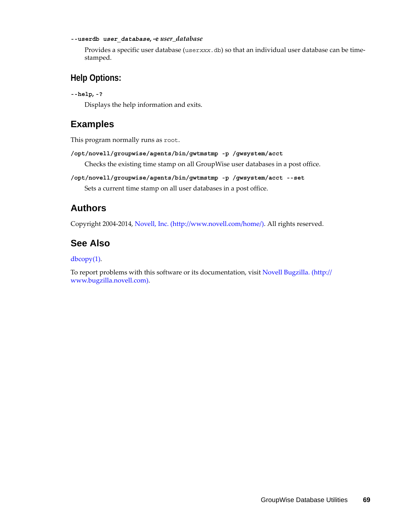#### **--userdb** *user\_database***, -e** *user\_database*

Provides a specific user database (user*xxx*.db) so that an individual user database can be timestamped.

#### **Help Options:**

```
--help, -?
```
Displays the help information and exits.

### **Examples**

This program normally runs as root.

**/opt/novell/groupwise/agents/bin/gwtmstmp -p /gwsystem/acct**

Checks the existing time stamp on all GroupWise user databases in a post office.

```
/opt/novell/groupwise/agents/bin/gwtmstmp -p /gwsystem/acct --set
    Sets a current time stamp on all user databases in a post office.
```
### **Authors**

Copyright 2004-2014, [Novell, Inc.](http://www.novell.com/home/) (http://www.novell.com/home/). All rights reserved.

### **See Also**

#### dbcopy(1).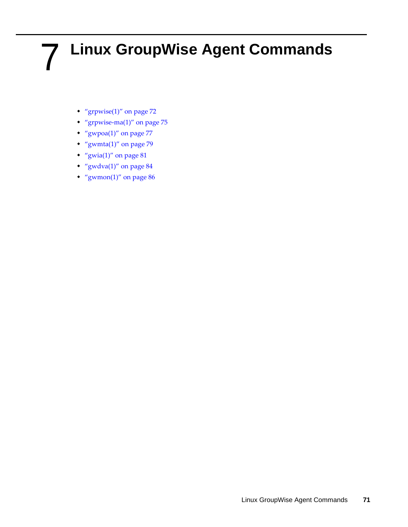# 7 <sup>7</sup>**Linux GroupWise Agent Commands**

- ["grpwise\(1\)" on page 72](#page-71-0)
- ["grpwise-ma\(1\)" on page 75](#page-74-0)
- "gwpoa $(1)$ " on page 77
- ["gwmta\(1\)" on page 79](#page-78-0)
- ["gwia\(1\)" on page 81](#page-80-0)
- ["gwdva\(1\)" on page 84](#page-83-0)
- ["gwmon\(1\)" on page 86](#page-85-0)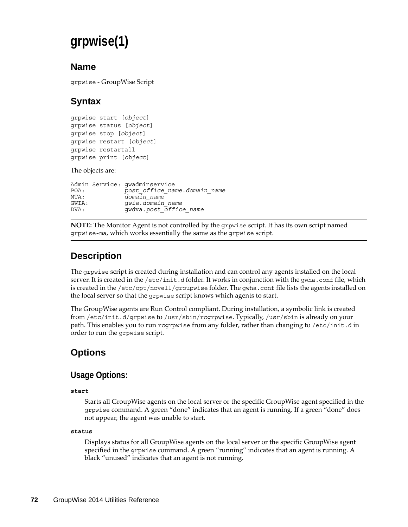# <span id="page-71-0"></span>**grpwise(1)**

### **Name**

grpwise - GroupWise Script

# **Syntax**

grpwise start [*object*] grpwise status [*object*] grpwise stop [*object*] grpwise restart [*object*] grpwise restartall grpwise print [*object*]

The objects are:

| POA:          | Admin Service: qwadminservice<br>post office name.domain name |
|---------------|---------------------------------------------------------------|
| MTA:          | $doma$ <sub>1</sub> n $name$                                  |
| GWIA:<br>DVA: | qwia.domain name<br>qwdva.post office name                    |

**NOTE:** The Monitor Agent is not controlled by the grpwise script. It has its own script named grpwise-ma, which works essentially the same as the grpwise script.

# **Description**

The grpwise script is created during installation and can control any agents installed on the local server. It is created in the /etc/init.d folder. It works in conjunction with the gwha.conf file, which is created in the /etc/opt/novell/groupwise folder. The gwha.conf file lists the agents installed on the local server so that the grpwise script knows which agents to start.

The GroupWise agents are Run Control compliant. During installation, a symbolic link is created from /etc/init.d/grpwise to /usr/sbin/rcgrpwise. Typically, /usr/sbin is already on your path. This enables you to run regrpwise from any folder, rather than changing to /etc/init.d in order to run the grpwise script.

# **Options**

### **Usage Options:**

#### **start**

Starts all GroupWise agents on the local server or the specific GroupWise agent specified in the grpwise command. A green "done" indicates that an agent is running. If a green "done" does not appear, the agent was unable to start.

#### **status**

Displays status for all GroupWise agents on the local server or the specific GroupWise agent specified in the grpwise command. A green "running" indicates that an agent is running. A black "unused" indicates that an agent is not running.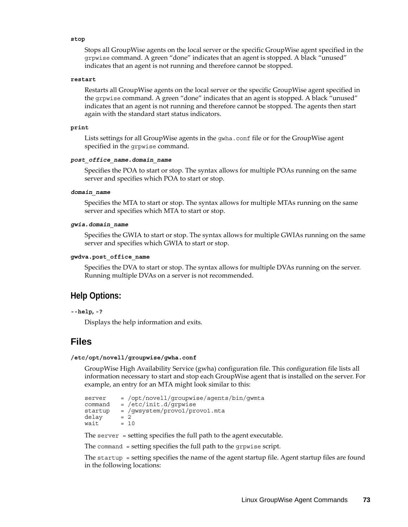#### **stop**

Stops all GroupWise agents on the local server or the specific GroupWise agent specified in the grpwise command. A green "done" indicates that an agent is stopped. A black "unused" indicates that an agent is not running and therefore cannot be stopped.

#### **restart**

Restarts all GroupWise agents on the local server or the specific GroupWise agent specified in the grpwise command. A green "done" indicates that an agent is stopped. A black "unused" indicates that an agent is not running and therefore cannot be stopped. The agents then start again with the standard start status indicators.

#### **print**

Lists settings for all GroupWise agents in the gwha.conf file or for the GroupWise agent specified in the grpwise command.

#### *post\_office\_name.domain\_name*

Specifies the POA to start or stop. The syntax allows for multiple POAs running on the same server and specifies which POA to start or stop.

#### *domain\_name*

Specifies the MTA to start or stop. The syntax allows for multiple MTAs running on the same server and specifies which MTA to start or stop.

#### *gwia***.***domain\_name*

Specifies the GWIA to start or stop. The syntax allows for multiple GWIAs running on the same server and specifies which GWIA to start or stop.

#### **gwdva.post\_office\_name**

Specifies the DVA to start or stop. The syntax allows for multiple DVAs running on the server. Running multiple DVAs on a server is not recommended.

#### **Help Options:**

```
--help, -?
```
Displays the help information and exits.

#### **Files**

#### **/etc/opt/novell/groupwise/gwha.conf**

GroupWise High Availability Service (gwha) configuration file. This configuration file lists all information necessary to start and stop each GroupWise agent that is installed on the server. For example, an entry for an MTA might look similar to this:

```
server = /opt/novell/groupwise/agents/bin/gwmta<br>command = /etc/init.d/arowise= /etc/init.d/grpwise
startup = /gwsystem/provo1/provo1.mta
delay = 2<br>wait = 10wait
```
The server = setting specifies the full path to the agent executable.

The command = setting specifies the full path to the grpwise script.

The startup = setting specifies the name of the agent startup file. Agent startup files are found in the following locations: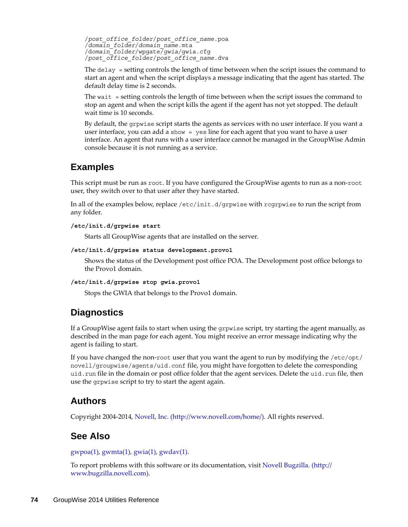/*post\_office\_folder*/*post\_office\_name*.poa /*domain\_folder*/*domain\_name*.mta /d*omain\_folder*/wpgate/*gwia*/gwia.cfg /*post\_office\_folder*/*post\_office\_name*.dva

The delay = setting controls the length of time between when the script issues the command to start an agent and when the script displays a message indicating that the agent has started. The default delay time is 2 seconds.

The wait = setting controls the length of time between when the script issues the command to stop an agent and when the script kills the agent if the agent has not yet stopped. The default wait time is 10 seconds.

By default, the grpwise script starts the agents as services with no user interface. If you want a user interface, you can add a show = yes line for each agent that you want to have a user interface. An agent that runs with a user interface cannot be managed in the GroupWise Admin console because it is not running as a service.

### **Examples**

This script must be run as root. If you have configured the GroupWise agents to run as a non-root user, they switch over to that user after they have started.

In all of the examples below, replace /etc/init.d/grpwise with rcgrpwise to run the script from any folder.

#### **/etc/init.d/grpwise start**

Starts all GroupWise agents that are installed on the server.

#### **/etc/init.d/grpwise status development.provo1**

Shows the status of the Development post office POA. The Development post office belongs to the Provo1 domain.

#### **/etc/init.d/grpwise stop gwia.provo1**

Stops the GWIA that belongs to the Provo1 domain.

### **Diagnostics**

If a GroupWise agent fails to start when using the grpwise script, try starting the agent manually, as described in the man page for each agent. You might receive an error message indicating why the agent is failing to start.

If you have changed the non-root user that you want the agent to run by modifying the /etc/opt/ novell/groupwise/agents/uid.conf file, you might have forgotten to delete the corresponding uid.run file in the domain or post office folder that the agent services. Delete the uid.run file, then use the grpwise script to try to start the agent again.

### **Authors**

Copyright 2004-2014, [Novell, Inc.](http://www.novell.com/home/) (http://www.novell.com/home/). All rights reserved.

### **See Also**

 $gwpoa(1)$ ,  $gwmta(1)$ ,  $gwia(1)$ ,  $gwdav(1)$ .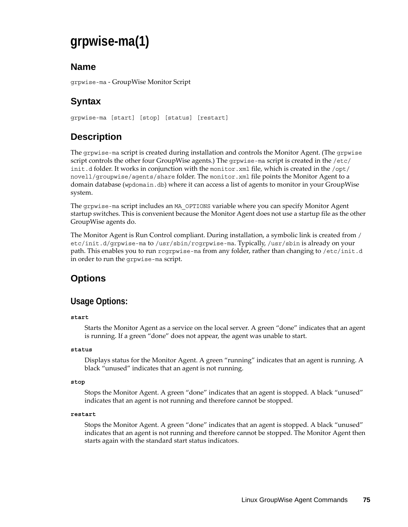# **grpwise-ma(1)**

### **Name**

grpwise-ma - GroupWise Monitor Script

# **Syntax**

grpwise-ma [start] [stop] [status] [restart]

# **Description**

The grpwise-ma script is created during installation and controls the Monitor Agent. (The grpwise script controls the other four GroupWise agents.) The grpwise-ma script is created in the /etc/ init.d folder. It works in conjunction with the monitor.xml file, which is created in the  $\sqrt{\text{opt}}$ / novell/groupwise/agents/share folder. The monitor.xml file points the Monitor Agent to a domain database (wpdomain.db) where it can access a list of agents to monitor in your GroupWise system.

The grpwise-ma script includes an MA\_OPTIONS variable where you can specify Monitor Agent startup switches. This is convenient because the Monitor Agent does not use a startup file as the other GroupWise agents do.

The Monitor Agent is Run Control compliant. During installation, a symbolic link is created from / etc/init.d/grpwise-ma to /usr/sbin/rcgrpwise-ma. Typically, /usr/sbin is already on your path. This enables you to run rcgrpwise-ma from any folder, rather than changing to /etc/init.d in order to run the grpwise-ma script.

# **Options**

### **Usage Options:**

#### **start**

Starts the Monitor Agent as a service on the local server. A green "done" indicates that an agent is running. If a green "done" does not appear, the agent was unable to start.

#### **status**

Displays status for the Monitor Agent. A green "running" indicates that an agent is running. A black "unused" indicates that an agent is not running.

#### **stop**

Stops the Monitor Agent. A green "done" indicates that an agent is stopped. A black "unused" indicates that an agent is not running and therefore cannot be stopped.

#### **restart**

Stops the Monitor Agent. A green "done" indicates that an agent is stopped. A black "unused" indicates that an agent is not running and therefore cannot be stopped. The Monitor Agent then starts again with the standard start status indicators.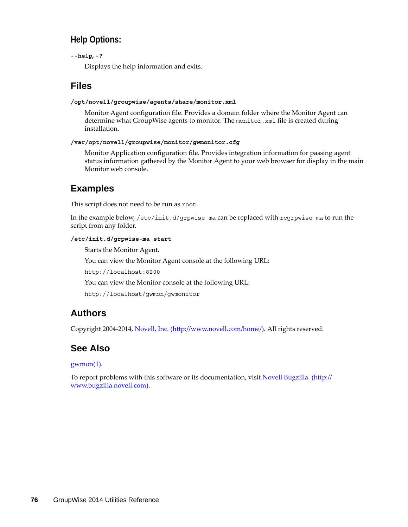### **Help Options:**

**--help, -?**

Displays the help information and exits.

### **Files**

#### **/opt/novell/groupwise/agents/share/monitor.xml**

Monitor Agent configuration file. Provides a domain folder where the Monitor Agent can determine what GroupWise agents to monitor. The monitor.xml file is created during installation.

#### **/var/opt/novell/groupwise/monitor/gwmonitor.cfg**

Monitor Application configuration file. Provides integration information for passing agent status information gathered by the Monitor Agent to your web browser for display in the main Monitor web console.

### **Examples**

This script does not need to be run as root.

In the example below, /etc/init.d/grpwise-ma can be replaced with rcgrpwise-ma to run the script from any folder.

#### **/etc/init.d/grpwise-ma start**

Starts the Monitor Agent.

You can view the Monitor Agent console at the following URL:

http://localhost:8200

You can view the Monitor console at the following URL:

http://localhost/gwmon/gwmonitor

### **Authors**

Copyright 2004-2014, [Novell, Inc.](http://www.novell.com/home/) (http://www.novell.com/home/). All rights reserved.

### **See Also**

#### gwmon(1).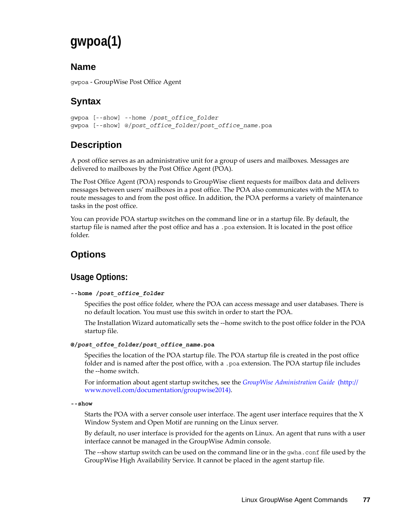# **gwpoa(1)**

### **Name**

gwpoa - GroupWise Post Office Agent

# **Syntax**

```
gwpoa [--show] --home /post_office_folder
gwpoa [--show] @/post_office_folder/post_office_name.poa
```
# **Description**

A post office serves as an administrative unit for a group of users and mailboxes. Messages are delivered to mailboxes by the Post Office Agent (POA).

The Post Office Agent (POA) responds to GroupWise client requests for mailbox data and delivers messages between users' mailboxes in a post office. The POA also communicates with the MTA to route messages to and from the post office. In addition, the POA performs a variety of maintenance tasks in the post office.

You can provide POA startup switches on the command line or in a startup file. By default, the startup file is named after the post office and has a .poa extension. It is located in the post office folder.

# **Options**

# **Usage Options:**

#### **--home /***post\_office\_folder*

Specifies the post office folder, where the POA can access message and user databases. There is no default location. You must use this switch in order to start the POA.

The Installation Wizard automatically sets the --home switch to the post office folder in the POA startup file.

#### **@/***post\_offce\_folder***/***post\_office\_name***.poa**

Specifies the location of the POA startup file. The POA startup file is created in the post office folder and is named after the post office, with a .poa extension. The POA startup file includes the --home switch.

For information about agent startup switches, see the *[GroupWise Administration Guide](http://www.novell.com/documentation/groupwise2014)* (http:// www.novell.com/documentation/groupwise2014).

**--show**

Starts the POA with a server console user interface. The agent user interface requires that the X Window System and Open Motif are running on the Linux server.

By default, no user interface is provided for the agents on Linux. An agent that runs with a user interface cannot be managed in the GroupWise Admin console.

The --show startup switch can be used on the command line or in the gwha.conf file used by the GroupWise High Availability Service. It cannot be placed in the agent startup file.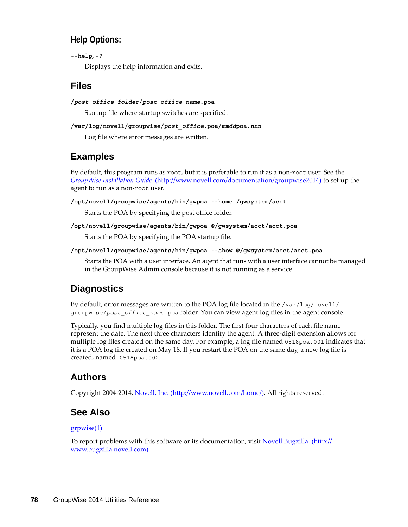### **Help Options:**

```
--help, -?
```
Displays the help information and exits.

### **Files**

```
/post_office_folder/post_office_name.poa
```
Startup file where startup switches are specified.

```
/var/log/novell/groupwise/post_office.poa/mmddpoa.nnn
```
Log file where error messages are written.

# **Examples**

By default, this program runs as root, but it is preferable to run it as a non-root user. See the *[GroupWise Installation Guide](http://www.novell.com/documentation/groupwise2014)* (http://www.novell.com/documentation/groupwise2014) to set up the agent to run as a non-root user.

**/opt/novell/groupwise/agents/bin/gwpoa --home /gwsystem/acct**

Starts the POA by specifying the post office folder.

```
/opt/novell/groupwise/agents/bin/gwpoa @/gwsystem/acct/acct.poa
```
Starts the POA by specifying the POA startup file.

**/opt/novell/groupwise/agents/bin/gwpoa --show @/gwsystem/acct/acct.poa**

Starts the POA with a user interface. An agent that runs with a user interface cannot be managed in the GroupWise Admin console because it is not running as a service.

# **Diagnostics**

By default, error messages are written to the POA log file located in the /var/log/novell/ groupwise/*post\_office\_name*.poa folder. You can view agent log files in the agent console.

Typically, you find multiple log files in this folder. The first four characters of each file name represent the date. The next three characters identify the agent. A three-digit extension allows for multiple log files created on the same day. For example, a log file named 0518poa.001 indicates that it is a POA log file created on May 18. If you restart the POA on the same day, a new log file is created, named 0518poa.002.

# **Authors**

Copyright 2004-2014, [Novell, Inc.](http://www.novell.com/home/) (http://www.novell.com/home/). All rights reserved.

# **See Also**

#### grpwise(1)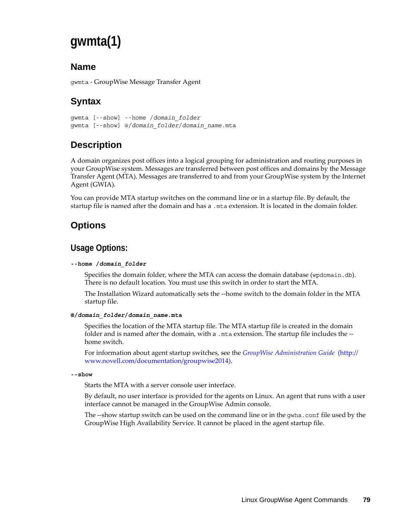# **gwmta(1)**

### **Name**

gwmta - GroupWise Message Transfer Agent

# **Syntax**

```
gwmta [--show] --home /domain_folder
gwmta [--show] @/domain_folder/domain_name.mta
```
# **Description**

A domain organizes post offices into a logical grouping for administration and routing purposes in your GroupWise system. Messages are transferred between post offices and domains by the Message Transfer Agent (MTA). Messages are transferred to and from your GroupWise system by the Internet Agent (GWIA).

You can provide MTA startup switches on the command line or in a startup file. By default, the startup file is named after the domain and has a .mta extension. It is located in the domain folder.

## **Options**

### **Usage Options:**

#### **--home /***domain\_folder*

Specifies the domain folder, where the MTA can access the domain database (wpdomain.db). There is no default location. You must use this switch in order to start the MTA.

The Installation Wizard automatically sets the --home switch to the domain folder in the MTA startup file.

#### **@/***domain\_folder***/***domain\_name***.mta**

Specifies the location of the MTA startup file. The MTA startup file is created in the domain folder and is named after the domain, with a .mta extension. The startup file includes the - home switch.

For information about agent startup switches, see the *[GroupWise Administration Guide](http://www.novell.com/documentation/groupwise2014)* (http:// www.novell.com/documentation/groupwise2014).

#### **--show**

Starts the MTA with a server console user interface.

By default, no user interface is provided for the agents on Linux. An agent that runs with a user interface cannot be managed in the GroupWise Admin console.

The --show startup switch can be used on the command line or in the gwha.conf file used by the GroupWise High Availability Service. It cannot be placed in the agent startup file.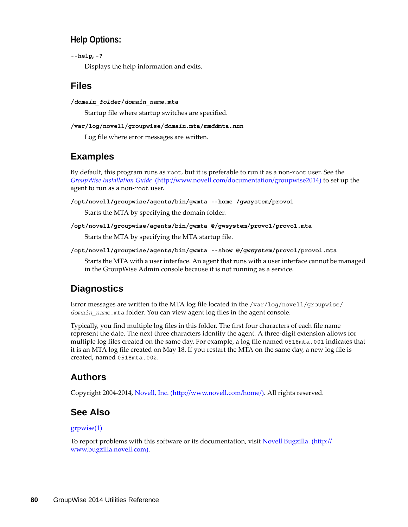### **Help Options:**

```
--help, -?
```
Displays the help information and exits.

### **Files**

**/***domain\_folder***/***domain\_name***.mta**

Startup file where startup switches are specified.

#### **/var/log/novell/groupwise/***domain***.mta/***mmdd***mta.***nnn*

Log file where error messages are written.

## **Examples**

By default, this program runs as root, but it is preferable to run it as a non-root user. See the *[GroupWise Installation Guide](http://www.novell.com/documentation/groupwise2014)* (http://www.novell.com/documentation/groupwise2014) to set up the agent to run as a non-root user.

**/opt/novell/groupwise/agents/bin/gwmta --home /gwsystem/provo1**

Starts the MTA by specifying the domain folder.

**/opt/novell/groupwise/agents/bin/gwmta @/gwsystem/provo1/provo1.mta**

Starts the MTA by specifying the MTA startup file.

**/opt/novell/groupwise/agents/bin/gwmta --show @/gwsystem/provo1/provo1.mta**

Starts the MTA with a user interface. An agent that runs with a user interface cannot be managed in the GroupWise Admin console because it is not running as a service.

# **Diagnostics**

Error messages are written to the MTA log file located in the /var/log/novell/groupwise/ *domain\_name*.mta folder. You can view agent log files in the agent console.

Typically, you find multiple log files in this folder. The first four characters of each file name represent the date. The next three characters identify the agent. A three-digit extension allows for multiple log files created on the same day. For example, a log file named 0518mta.001 indicates that it is an MTA log file created on May 18. If you restart the MTA on the same day, a new log file is created, named 0518mta.002.

### **Authors**

Copyright 2004-2014, [Novell, Inc.](http://www.novell.com/home/) (http://www.novell.com/home/). All rights reserved.

### **See Also**

#### grpwise(1)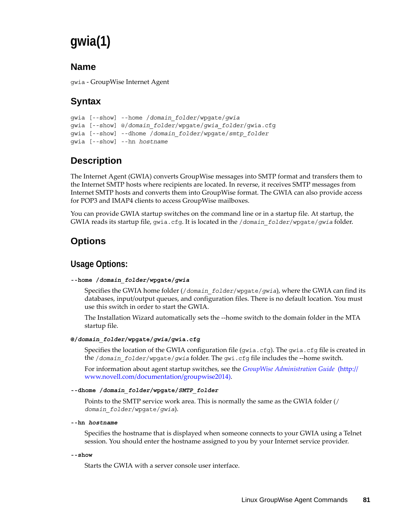# **gwia(1)**

### **Name**

gwia - GroupWise Internet Agent

# **Syntax**

```
gwia [--show] --home /domain_folder/wpgate/gwia
gwia [--show] @/domain_folder/wpgate/gwia_folder/gwia.cfg
gwia [--show] --dhome /domain_folder/wpgate/smtp_folder
gwia [--show] --hn hostname
```
# **Description**

The Internet Agent (GWIA) converts GroupWise messages into SMTP format and transfers them to the Internet SMTP hosts where recipients are located. In reverse, it receives SMTP messages from Internet SMTP hosts and converts them into GroupWise format. The GWIA can also provide access for POP3 and IMAP4 clients to access GroupWise mailboxes.

You can provide GWIA startup switches on the command line or in a startup file. At startup, the GWIA reads its startup file, gwia.cfg. It is located in the /*domain\_folder*/wpgate/*gwia* folder.

# **Options**

### **Usage Options:**

#### **--home /***domain\_folder***/wpgate/***gwia*

Specifies the GWIA home folder (/*domain\_folder*/wpgate/*gwia*), where the GWIA can find its databases, input/output queues, and configuration files. There is no default location. You must use this switch in order to start the GWIA.

The Installation Wizard automatically sets the --home switch to the domain folder in the MTA startup file.

#### **@/***domain\_folder***/wpgate/***gwia***/gwia.cfg**

Specifies the location of the GWIA configuration file (gwia.cfg). The gwia.cfg file is created in the /*domain\_folder*/wpgate/*gwia* folder. The gwi.cfg file includes the --home switch.

For information about agent startup switches, see the *[GroupWise Administration Guide](http://www.novell.com/documentation/groupwise2014)* (http:// www.novell.com/documentation/groupwise2014).

#### **--dhome /***domain\_folder***/wpgate/***SMTP\_folder*

Points to the SMTP service work area. This is normally the same as the GWIA folder (/ *domain\_folder*/wpgate/*gwia*).

**--hn** *hostname*

Specifies the hostname that is displayed when someone connects to your GWIA using a Telnet session. You should enter the hostname assigned to you by your Internet service provider.

```
--show
```
Starts the GWIA with a server console user interface.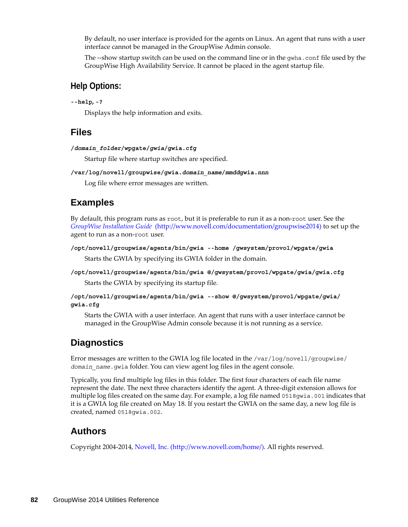By default, no user interface is provided for the agents on Linux. An agent that runs with a user interface cannot be managed in the GroupWise Admin console.

The --show startup switch can be used on the command line or in the gwha.conf file used by the GroupWise High Availability Service. It cannot be placed in the agent startup file.

#### **Help Options:**

#### **--help, -?**

Displays the help information and exits.

### **Files**

```
/domain_folder/wpgate/gwia/gwia.cfg
```
Startup file where startup switches are specified.

#### **/var/log/novell/groupwise/gwia.***domain\_name***/***mmdd***gwia.***nnn*

Log file where error messages are written.

### **Examples**

By default, this program runs as root, but it is preferable to run it as a non-root user. See the *[GroupWise Installation Guide](http://www.novell.com/documentation/groupwise2014)* (http://www.novell.com/documentation/groupwise2014) to set up the agent to run as a non-root user.

```
/opt/novell/groupwise/agents/bin/gwia --home /gwsystem/provo1/wpgate/gwia
```
Starts the GWIA by specifying its GWIA folder in the domain.

```
/opt/novell/groupwise/agents/bin/gwia @/gwsystem/provo1/wpgate/gwia/gwia.cfg
```
Starts the GWIA by specifying its startup file.

**/opt/novell/groupwise/agents/bin/gwia --show @/gwsystem/provo1/wpgate/gwia/ gwia.cfg**

Starts the GWIA with a user interface. An agent that runs with a user interface cannot be managed in the GroupWise Admin console because it is not running as a service.

### **Diagnostics**

Error messages are written to the GWIA log file located in the /var/log/novell/groupwise/ *domain\_name*.gwia folder. You can view agent log files in the agent console.

Typically, you find multiple log files in this folder. The first four characters of each file name represent the date. The next three characters identify the agent. A three-digit extension allows for multiple log files created on the same day. For example, a log file named 0518gwia.001 indicates that it is a GWIA log file created on May 18. If you restart the GWIA on the same day, a new log file is created, named 0518gwia.002.

### **Authors**

Copyright 2004-2014, [Novell, Inc.](http://www.novell.com/home/) (http://www.novell.com/home/). All rights reserved.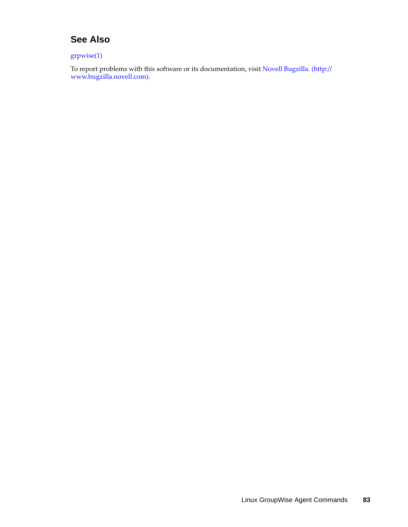### **See Also**

grpwise(1)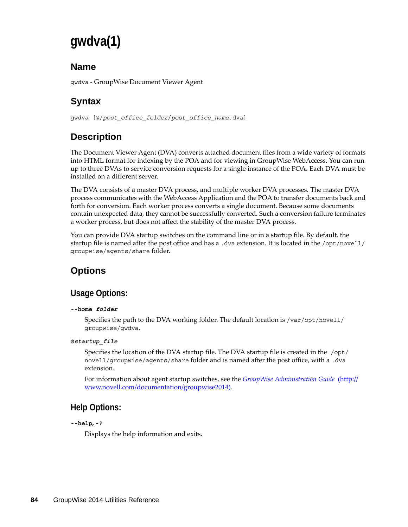# **gwdva(1)**

### **Name**

gwdva - GroupWise Document Viewer Agent

# **Syntax**

gwdva [@/*post\_office\_folder*/*post\_office\_name*.dva]

# **Description**

The Document Viewer Agent (DVA) converts attached document files from a wide variety of formats into HTML format for indexing by the POA and for viewing in GroupWise WebAccess. You can run up to three DVAs to service conversion requests for a single instance of the POA. Each DVA must be installed on a different server.

The DVA consists of a master DVA process, and multiple worker DVA processes. The master DVA process communicates with the WebAccess Application and the POA to transfer documents back and forth for conversion. Each worker process converts a single document. Because some documents contain unexpected data, they cannot be successfully converted. Such a conversion failure terminates a worker process, but does not affect the stability of the master DVA process.

You can provide DVA startup switches on the command line or in a startup file. By default, the startup file is named after the post office and has a .dva extension. It is located in the /opt/novell/ groupwise/agents/share folder.

# **Options**

### **Usage Options:**

#### **--home** *folder*

Specifies the path to the DVA working folder. The default location is /var/opt/novell/ groupwise/gwdva.

#### **@***startup\_file*

Specifies the location of the DVA startup file. The DVA startup file is created in the  $\sqrt{\text{opt}}/$ novell/groupwise/agents/share folder and is named after the post office, with a .dva extension.

For information about agent startup switches, see the *[GroupWise Administration Guide](http://www.novell.com/documentation/groupwise2014)* (http:// www.novell.com/documentation/groupwise2014).

### **Help Options:**

```
--help, -?
```
Displays the help information and exits.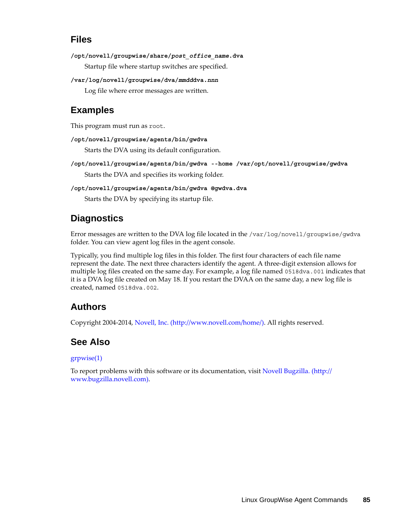### **Files**

**/opt/novell/groupwise/share/***post\_office\_name***.dva**

Startup file where startup switches are specified.

**/var/log/novell/groupwise/dva/***mmdd***dva.***nnn*

Log file where error messages are written.

### **Examples**

This program must run as root.

**/opt/novell/groupwise/agents/bin/gwdva**

Starts the DVA using its default configuration.

- **/opt/novell/groupwise/agents/bin/gwdva --home /var/opt/novell/groupwise/gwdva** Starts the DVA and specifies its working folder.
- **/opt/novell/groupwise/agents/bin/gwdva @gwdva.dva** Starts the DVA by specifying its startup file.

## **Diagnostics**

Error messages are written to the DVA log file located in the /var/log/novell/groupwise/gwdva folder. You can view agent log files in the agent console.

Typically, you find multiple log files in this folder. The first four characters of each file name represent the date. The next three characters identify the agent. A three-digit extension allows for multiple log files created on the same day. For example, a log file named 0518dva.001 indicates that it is a DVA log file created on May 18. If you restart the DVAA on the same day, a new log file is created, named 0518dva.002.

### **Authors**

Copyright 2004-2014, [Novell, Inc.](http://www.novell.com/home/) (http://www.novell.com/home/). All rights reserved.

### **See Also**

#### grpwise(1)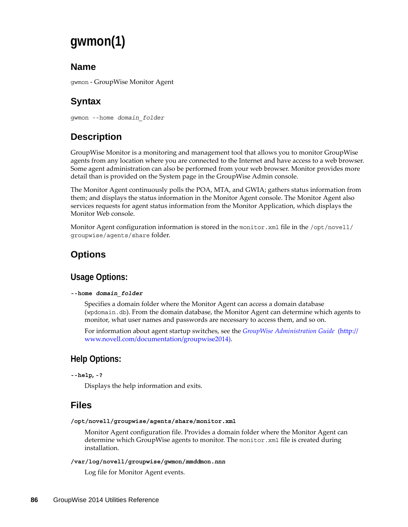# **gwmon(1)**

### **Name**

gwmon - GroupWise Monitor Agent

# **Syntax**

gwmon --home *domain\_folder*

# **Description**

GroupWise Monitor is a monitoring and management tool that allows you to monitor GroupWise agents from any location where you are connected to the Internet and have access to a web browser. Some agent administration can also be performed from your web browser. Monitor provides more detail than is provided on the System page in the GroupWise Admin console.

The Monitor Agent continuously polls the POA, MTA, and GWIA; gathers status information from them; and displays the status information in the Monitor Agent console. The Monitor Agent also services requests for agent status information from the Monitor Application, which displays the Monitor Web console.

Monitor Agent configuration information is stored in the monitor.xml file in the /opt/novell/ groupwise/agents/share folder.

# **Options**

### **Usage Options:**

#### **--home** *domain\_folder*

Specifies a domain folder where the Monitor Agent can access a domain database (wpdomain.db). From the domain database, the Monitor Agent can determine which agents to monitor, what user names and passwords are necessary to access them, and so on.

For information about agent startup switches, see the *[GroupWise Administration Guide](http://www.novell.com/documentation/groupwise2014)* (http:// www.novell.com/documentation/groupwise2014).

### **Help Options:**

```
--help, -?
```
Displays the help information and exits.

### **Files**

**/opt/novell/groupwise/agents/share/monitor.xml**

Monitor Agent configuration file. Provides a domain folder where the Monitor Agent can determine which GroupWise agents to monitor. The monitor.xml file is created during installation.

#### **/var/log/novell/groupwise/gwmon/***mmdd***mon.***nnn*

Log file for Monitor Agent events.